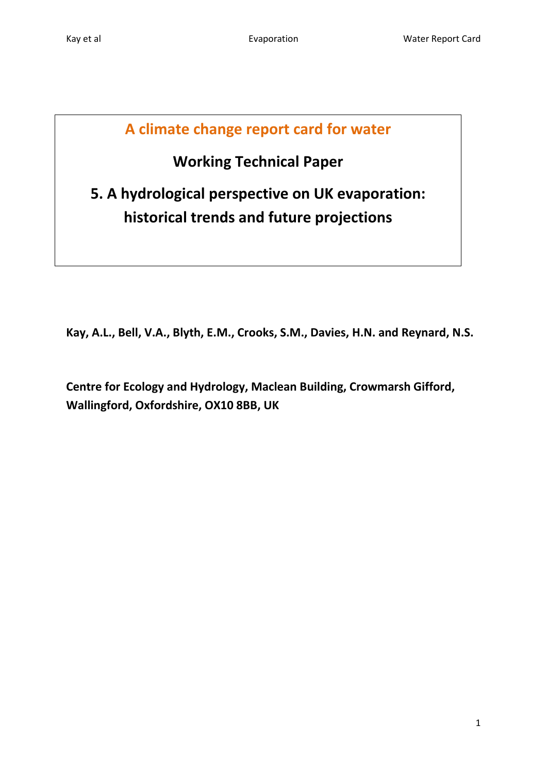# **A climate change report card for water**

# **Working Technical Paper**

**5. A hydrological perspective on UK evaporation: historical trends and future projections**

**Kay, A.L., Bell, V.A., Blyth, E.M., Crooks, S.M., Davies, H.N. and Reynard, N.S.**

**Centre for Ecology and Hydrology, Maclean Building, Crowmarsh Gifford, Wallingford, Oxfordshire, OX10 8BB, UK**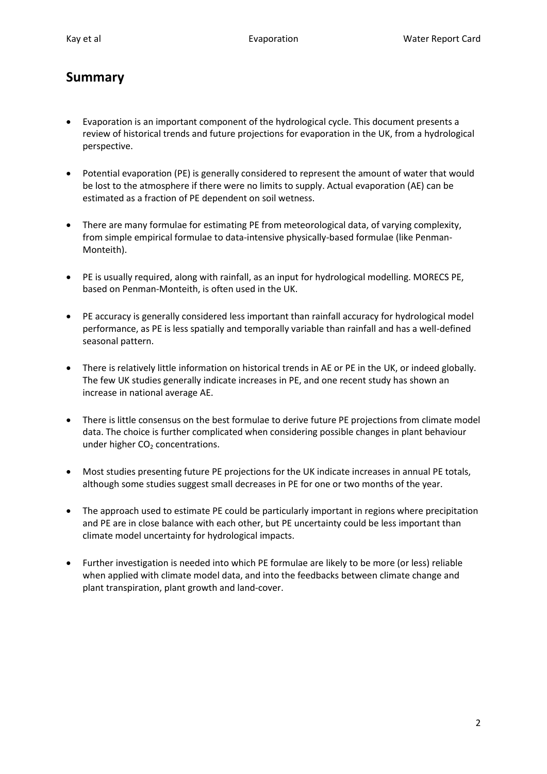# **Summary**

- Evaporation is an important component of the hydrological cycle. This document presents a review of historical trends and future projections for evaporation in the UK, from a hydrological perspective.
- Potential evaporation (PE) is generally considered to represent the amount of water that would be lost to the atmosphere if there were no limits to supply. Actual evaporation (AE) can be estimated as a fraction of PE dependent on soil wetness.
- There are many formulae for estimating PE from meteorological data, of varying complexity, from simple empirical formulae to data-intensive physically-based formulae (like Penman-Monteith).
- PE is usually required, along with rainfall, as an input for hydrological modelling. MORECS PE, based on Penman-Monteith, is often used in the UK.
- PE accuracy is generally considered less important than rainfall accuracy for hydrological model performance, as PE is less spatially and temporally variable than rainfall and has a well-defined seasonal pattern.
- There is relatively little information on historical trends in AE or PE in the UK, or indeed globally. The few UK studies generally indicate increases in PE, and one recent study has shown an increase in national average AE.
- There is little consensus on the best formulae to derive future PE projections from climate model data. The choice is further complicated when considering possible changes in plant behaviour under higher  $CO<sub>2</sub>$  concentrations.
- Most studies presenting future PE projections for the UK indicate increases in annual PE totals, although some studies suggest small decreases in PE for one or two months of the year.
- The approach used to estimate PE could be particularly important in regions where precipitation and PE are in close balance with each other, but PE uncertainty could be less important than climate model uncertainty for hydrological impacts.
- Further investigation is needed into which PE formulae are likely to be more (or less) reliable when applied with climate model data, and into the feedbacks between climate change and plant transpiration, plant growth and land-cover.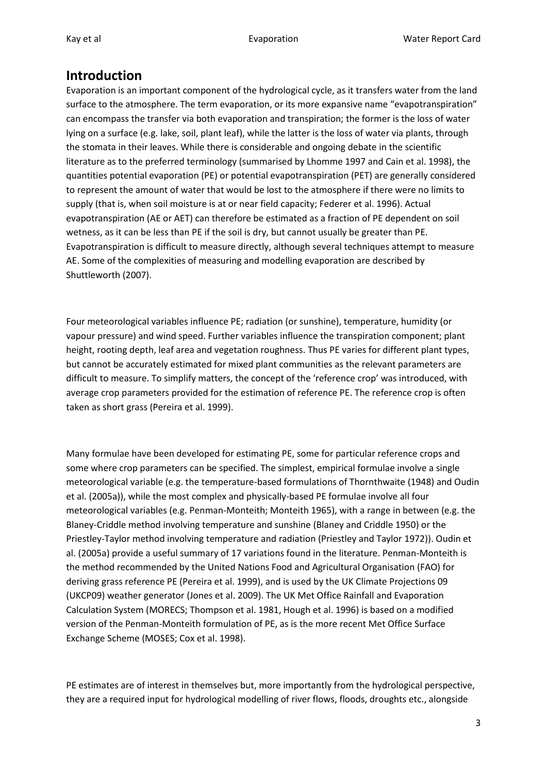### **Introduction**

Evaporation is an important component of the hydrological cycle, as it transfers water from the land surface to the atmosphere. The term evaporation, or its more expansive name "evapotranspiration" can encompass the transfer via both evaporation and transpiration; the former is the loss of water lying on a surface (e.g. lake, soil, plant leaf), while the latter is the loss of water via plants, through the stomata in their leaves. While there is considerable and ongoing debate in the scientific literature as to the preferred terminology (summarised by Lhomme 1997 and Cain et al. 1998), the quantities potential evaporation (PE) or potential evapotranspiration (PET) are generally considered to represent the amount of water that would be lost to the atmosphere if there were no limits to supply (that is, when soil moisture is at or near field capacity; Federer et al. 1996). Actual evapotranspiration (AE or AET) can therefore be estimated as a fraction of PE dependent on soil wetness, as it can be less than PE if the soil is dry, but cannot usually be greater than PE. Evapotranspiration is difficult to measure directly, although several techniques attempt to measure AE. Some of the complexities of measuring and modelling evaporation are described by Shuttleworth (2007).

Four meteorological variables influence PE; radiation (or sunshine), temperature, humidity (or vapour pressure) and wind speed. Further variables influence the transpiration component; plant height, rooting depth, leaf area and vegetation roughness. Thus PE varies for different plant types, but cannot be accurately estimated for mixed plant communities as the relevant parameters are difficult to measure. To simplify matters, the concept of the 'reference crop' was introduced, with average crop parameters provided for the estimation of reference PE. The reference crop is often taken as short grass (Pereira et al. 1999).

Many formulae have been developed for estimating PE, some for particular reference crops and some where crop parameters can be specified. The simplest, empirical formulae involve a single meteorological variable (e.g. the temperature-based formulations of Thornthwaite (1948) and Oudin et al. (2005a)), while the most complex and physically-based PE formulae involve all four meteorological variables (e.g. Penman-Monteith; Monteith 1965), with a range in between (e.g. the Blaney-Criddle method involving temperature and sunshine (Blaney and Criddle 1950) or the Priestley-Taylor method involving temperature and radiation (Priestley and Taylor 1972)). Oudin et al. (2005a) provide a useful summary of 17 variations found in the literature. Penman-Monteith is the method recommended by the United Nations Food and Agricultural Organisation (FAO) for deriving grass reference PE (Pereira et al. 1999), and is used by the UK Climate Projections 09 (UKCP09) weather generator (Jones et al. 2009). The UK Met Office Rainfall and Evaporation Calculation System (MORECS; Thompson et al. 1981, Hough et al. 1996) is based on a modified version of the Penman-Monteith formulation of PE, as is the more recent Met Office Surface Exchange Scheme (MOSES; Cox et al. 1998).

PE estimates are of interest in themselves but, more importantly from the hydrological perspective, they are a required input for hydrological modelling of river flows, floods, droughts etc., alongside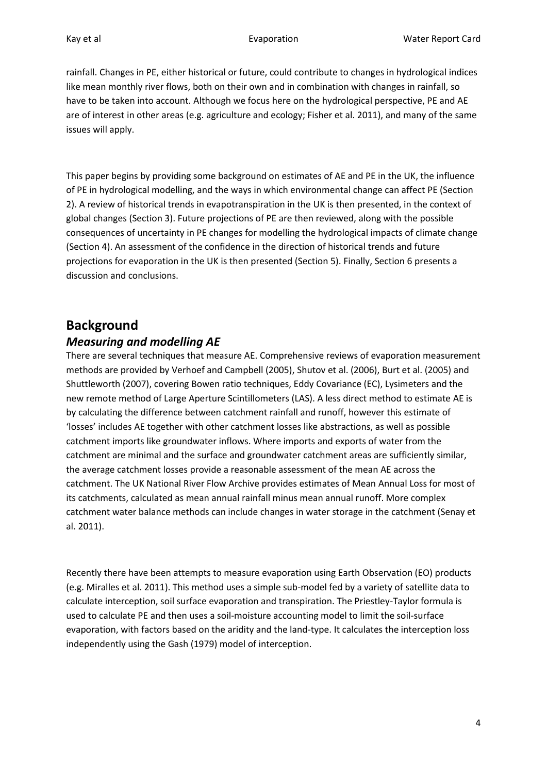rainfall. Changes in PE, either historical or future, could contribute to changes in hydrological indices like mean monthly river flows, both on their own and in combination with changes in rainfall, so have to be taken into account. Although we focus here on the hydrological perspective, PE and AE are of interest in other areas (e.g. agriculture and ecology; Fisher et al. 2011), and many of the same issues will apply.

This paper begins by providing some background on estimates of AE and PE in the UK, the influence of PE in hydrological modelling, and the ways in which environmental change can affect PE (Section 2). A review of historical trends in evapotranspiration in the UK is then presented, in the context of global changes (Section 3). Future projections of PE are then reviewed, along with the possible consequences of uncertainty in PE changes for modelling the hydrological impacts of climate change (Section 4). An assessment of the confidence in the direction of historical trends and future projections for evaporation in the UK is then presented (Section 5). Finally, Section 6 presents a discussion and conclusions.

## **Background**

#### *Measuring and modelling AE*

There are several techniques that measure AE. Comprehensive reviews of evaporation measurement methods are provided by Verhoef and Campbell (2005), Shutov et al. (2006), Burt et al. (2005) and Shuttleworth (2007), covering Bowen ratio techniques, Eddy Covariance (EC), Lysimeters and the new remote method of Large Aperture Scintillometers (LAS). A less direct method to estimate AE is by calculating the difference between catchment rainfall and runoff, however this estimate of 'losses' includes AE together with other catchment losses like abstractions, as well as possible catchment imports like groundwater inflows. Where imports and exports of water from the catchment are minimal and the surface and groundwater catchment areas are sufficiently similar, the average catchment losses provide a reasonable assessment of the mean AE across the catchment. The UK National River Flow Archive provides estimates of Mean Annual Loss for most of its catchments, calculated as mean annual rainfall minus mean annual runoff. More complex catchment water balance methods can include changes in water storage in the catchment (Senay et al. 2011).

Recently there have been attempts to measure evaporation using Earth Observation (EO) products (e.g. Miralles et al. 2011). This method uses a simple sub-model fed by a variety of satellite data to calculate interception, soil surface evaporation and transpiration. The Priestley-Taylor formula is used to calculate PE and then uses a soil-moisture accounting model to limit the soil-surface evaporation, with factors based on the aridity and the land-type. It calculates the interception loss independently using the Gash (1979) model of interception.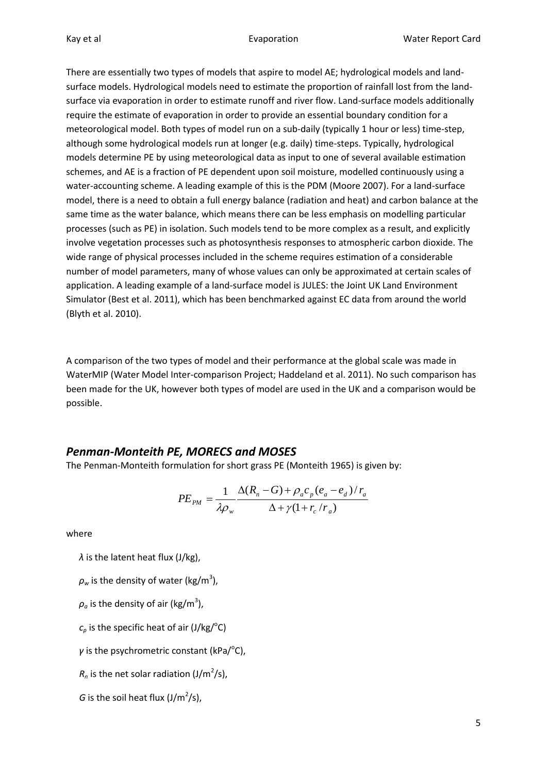There are essentially two types of models that aspire to model AE; hydrological models and landsurface models. Hydrological models need to estimate the proportion of rainfall lost from the landsurface via evaporation in order to estimate runoff and river flow. Land-surface models additionally require the estimate of evaporation in order to provide an essential boundary condition for a meteorological model. Both types of model run on a sub-daily (typically 1 hour or less) time-step, although some hydrological models run at longer (e.g. daily) time-steps. Typically, hydrological models determine PE by using meteorological data as input to one of several available estimation schemes, and AE is a fraction of PE dependent upon soil moisture, modelled continuously using a water-accounting scheme. A leading example of this is the PDM (Moore 2007). For a land-surface model, there is a need to obtain a full energy balance (radiation and heat) and carbon balance at the same time as the water balance, which means there can be less emphasis on modelling particular processes (such as PE) in isolation. Such models tend to be more complex as a result, and explicitly involve vegetation processes such as photosynthesis responses to atmospheric carbon dioxide. The wide range of physical processes included in the scheme requires estimation of a considerable number of model parameters, many of whose values can only be approximated at certain scales of application. A leading example of a land-surface model is JULES: the Joint UK Land Environment Simulator (Best et al. 2011), which has been benchmarked against EC data from around the world (Blyth et al. 2010).

A comparison of the two types of model and their performance at the global scale was made in WaterMIP (Water Model Inter-comparison Project; Haddeland et al. 2011). No such comparison has been made for the UK, however both types of model are used in the UK and a comparison would be possible.

#### *Penman-Monteith PE, MORECS and MOSES*

The Penman-Monteith formulation for short grass PE (Monteith 1965) is given by:

$$
PE_{PM} = \frac{1}{\lambda \rho_w} \frac{\Delta(R_n - G) + \rho_a c_p (e_a - e_d) / r_a}{\Delta + \gamma (1 + r_c / r_a)}
$$

where

*λ* is the latent heat flux (J/kg),

- $\rho_{\sf w}$  is the density of water (kg/m<sup>3</sup>),
- $\rho_a$  is the density of air (kg/m<sup>3</sup>),
- $c_p$  is the specific heat of air (J/kg/ $\rm ^oC$ )
- *γ* is the psychrometric constant (kPa/<sup>o</sup>C),
- $R_n$  is the net solar radiation (J/m<sup>2</sup>/s),
- *G* is the soil heat flux  $(J/m^2/s)$ ,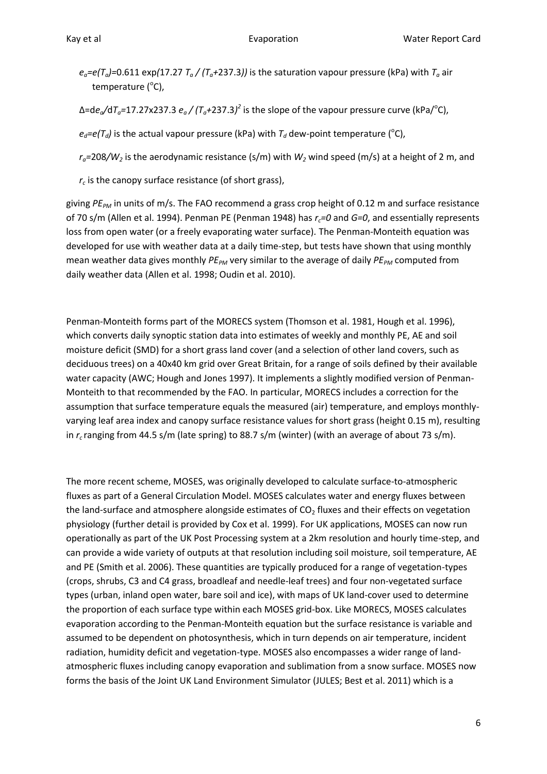- $e_a = e(T_a) = 0.611 \exp(17.27 T_a / (T_a + 237.3))$  is the saturation vapour pressure (kPa) with  $T_a$  air temperature (°C),
- Δ=d*ea/*d*Ta=*17.27x237.3 *e<sup>a</sup> / (Ta+*237.3*) 2* is the slope of the vapour pressure curve (kPa/<sup>o</sup> C),
- $e_d = e(T_d)$  is the actual vapour pressure (kPa) with  $T_d$  dew-point temperature (<sup>o</sup>C),
- *ra=*208*/W<sup>2</sup>* is the aerodynamic resistance (s/m) with *W<sup>2</sup>* wind speed (m/s) at a height of 2 m, and
- *rc* is the canopy surface resistance (of short grass),

giving *PEPM* in units of m/s. The FAO recommend a grass crop height of 0.12 m and surface resistance of 70 s/m (Allen et al. 1994). Penman PE (Penman 1948) has *rc=0* and *G=0*, and essentially represents loss from open water (or a freely evaporating water surface)*.* The Penman-Monteith equation was developed for use with weather data at a daily time-step, but tests have shown that using monthly mean weather data gives monthly *PEPM* very similar to the average of daily *PEPM* computed from daily weather data (Allen et al. 1998; Oudin et al. 2010).

Penman-Monteith forms part of the MORECS system (Thomson et al. 1981, Hough et al. 1996), which converts daily synoptic station data into estimates of weekly and monthly PE, AE and soil moisture deficit (SMD) for a short grass land cover (and a selection of other land covers, such as deciduous trees) on a 40x40 km grid over Great Britain, for a range of soils defined by their available water capacity (AWC; Hough and Jones 1997). It implements a slightly modified version of Penman-Monteith to that recommended by the FAO. In particular, MORECS includes a correction for the assumption that surface temperature equals the measured (air) temperature, and employs monthlyvarying leaf area index and canopy surface resistance values for short grass (height 0.15 m), resulting in *rc* ranging from 44.5 s/m (late spring) to 88.7 s/m (winter) (with an average of about 73 s/m).

The more recent scheme, MOSES, was originally developed to calculate surface-to-atmospheric fluxes as part of a General Circulation Model. MOSES calculates water and energy fluxes between the land-surface and atmosphere alongside estimates of  $CO<sub>2</sub>$  fluxes and their effects on vegetation physiology (further detail is provided by Cox et al. 1999). For UK applications, MOSES can now run operationally as part of the UK Post Processing system at a 2km resolution and hourly time-step, and can provide a wide variety of outputs at that resolution including soil moisture, soil temperature, AE and PE (Smith et al. 2006). These quantities are typically produced for a range of vegetation-types (crops, shrubs, C3 and C4 grass, broadleaf and needle-leaf trees) and four non-vegetated surface types (urban, inland open water, bare soil and ice), with maps of UK land-cover used to determine the proportion of each surface type within each MOSES grid-box. Like MORECS, MOSES calculates evaporation according to the Penman-Monteith equation but the surface resistance is variable and assumed to be dependent on photosynthesis, which in turn depends on air temperature, incident radiation, humidity deficit and vegetation-type. MOSES also encompasses a wider range of landatmospheric fluxes including canopy evaporation and sublimation from a snow surface. MOSES now forms the basis of the Joint UK Land Environment Simulator (JULES; Best et al. 2011) which is a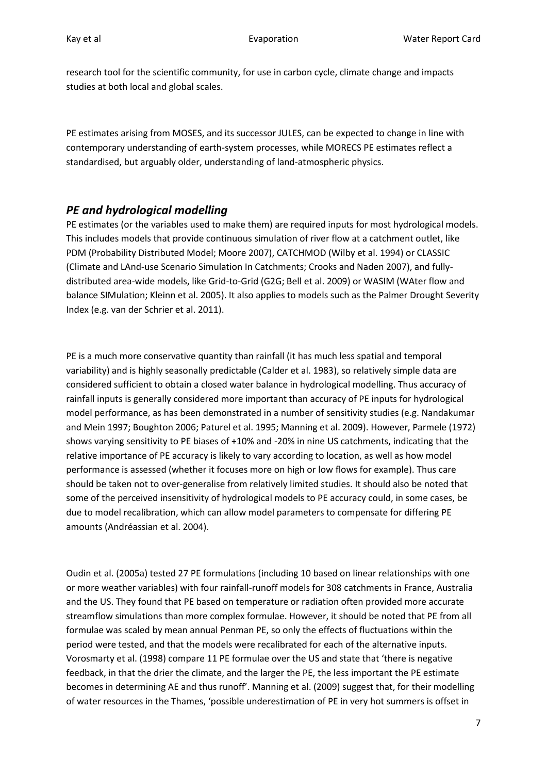research tool for the scientific community, for use in carbon cycle, climate change and impacts studies at both local and global scales.

PE estimates arising from MOSES, and its successor JULES, can be expected to change in line with contemporary understanding of earth-system processes, while MORECS PE estimates reflect a standardised, but arguably older, understanding of land-atmospheric physics.

#### <span id="page-6-0"></span>*PE and hydrological modelling*

PE estimates (or the variables used to make them) are required inputs for most hydrological models. This includes models that provide continuous simulation of river flow at a catchment outlet, like PDM (Probability Distributed Model; Moore 2007), CATCHMOD (Wilby et al. 1994) or CLASSIC (Climate and LAnd-use Scenario Simulation In Catchments; Crooks and Naden 2007), and fullydistributed area-wide models, like Grid-to-Grid (G2G; Bell et al. 2009) or WASIM (WAter flow and balance SIMulation; Kleinn et al. 2005). It also applies to models such as the Palmer Drought Severity Index (e.g. van der Schrier et al. 2011).

PE is a much more conservative quantity than rainfall (it has much less spatial and temporal variability) and is highly seasonally predictable (Calder et al. 1983), so relatively simple data are considered sufficient to obtain a closed water balance in hydrological modelling. Thus accuracy of rainfall inputs is generally considered more important than accuracy of PE inputs for hydrological model performance, as has been demonstrated in a number of sensitivity studies (e.g. Nandakumar and Mein 1997; Boughton 2006; Paturel et al. 1995; Manning et al. 2009). However, Parmele (1972) shows varying sensitivity to PE biases of +10% and -20% in nine US catchments, indicating that the relative importance of PE accuracy is likely to vary according to location, as well as how model performance is assessed (whether it focuses more on high or low flows for example). Thus care should be taken not to over-generalise from relatively limited studies. It should also be noted that some of the perceived insensitivity of hydrological models to PE accuracy could, in some cases, be due to model recalibration, which can allow model parameters to compensate for differing PE amounts (Andréassian et al. 2004).

Oudin et al. (2005a) tested 27 PE formulations (including 10 based on linear relationships with one or more weather variables) with four rainfall-runoff models for 308 catchments in France, Australia and the US. They found that PE based on temperature or radiation often provided more accurate streamflow simulations than more complex formulae. However, it should be noted that PE from all formulae was scaled by mean annual Penman PE, so only the effects of fluctuations within the period were tested, and that the models were recalibrated for each of the alternative inputs. Vorosmarty et al. (1998) compare 11 PE formulae over the US and state that 'there is negative feedback, in that the drier the climate, and the larger the PE, the less important the PE estimate becomes in determining AE and thus runoff'. Manning et al. (2009) suggest that, for their modelling of water resources in the Thames, 'possible underestimation of PE in very hot summers is offset in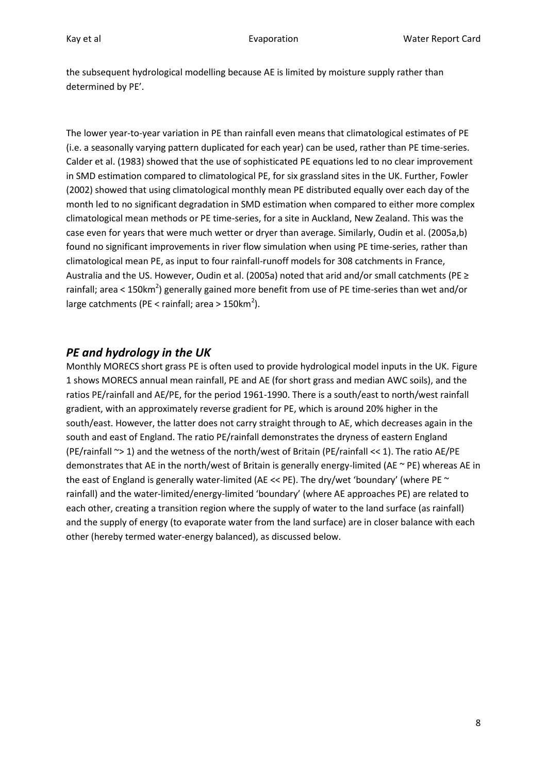the subsequent hydrological modelling because AE is limited by moisture supply rather than determined by PE'.

The lower year-to-year variation in PE than rainfall even means that climatological estimates of PE (i.e. a seasonally varying pattern duplicated for each year) can be used, rather than PE time-series. Calder et al. (1983) showed that the use of sophisticated PE equations led to no clear improvement in SMD estimation compared to climatological PE, for six grassland sites in the UK. Further, Fowler (2002) showed that using climatological monthly mean PE distributed equally over each day of the month led to no significant degradation in SMD estimation when compared to either more complex climatological mean methods or PE time-series, for a site in Auckland, New Zealand. This was the case even for years that were much wetter or dryer than average. Similarly, Oudin et al. (2005a,b) found no significant improvements in river flow simulation when using PE time-series, rather than climatological mean PE, as input to four rainfall-runoff models for 308 catchments in France, Australia and the US. However, Oudin et al. (2005a) noted that arid and/or small catchments (PE ≥ rainfall; area < 150km<sup>2</sup>) generally gained more benefit from use of PE time-series than wet and/or large catchments (PE < rainfall; area >  $150 \text{km}^2$ ).

#### <span id="page-7-0"></span>*PE and hydrology in the UK*

Monthly MORECS short grass PE is often used to provide hydrological model inputs in the UK[. Figure](#page-8-0)  [1](#page-8-0) shows MORECS annual mean rainfall, PE and AE (for short grass and median AWC soils), and the ratios PE/rainfall and AE/PE, for the period 1961-1990. There is a south/east to north/west rainfall gradient, with an approximately reverse gradient for PE, which is around 20% higher in the south/east. However, the latter does not carry straight through to AE, which decreases again in the south and east of England. The ratio PE/rainfall demonstrates the dryness of eastern England (PE/rainfall ~> 1) and the wetness of the north/west of Britain (PE/rainfall << 1). The ratio AE/PE demonstrates that AE in the north/west of Britain is generally energy-limited (AE ~ PE) whereas AE in the east of England is generally water-limited (AE << PE). The dry/wet 'boundary' (where PE  $\sim$ rainfall) and the water-limited/energy-limited 'boundary' (where AE approaches PE) are related to each other, creating a transition region where the supply of water to the land surface (as rainfall) and the supply of energy (to evaporate water from the land surface) are in closer balance with each other (hereby termed water-energy balanced), as discussed below.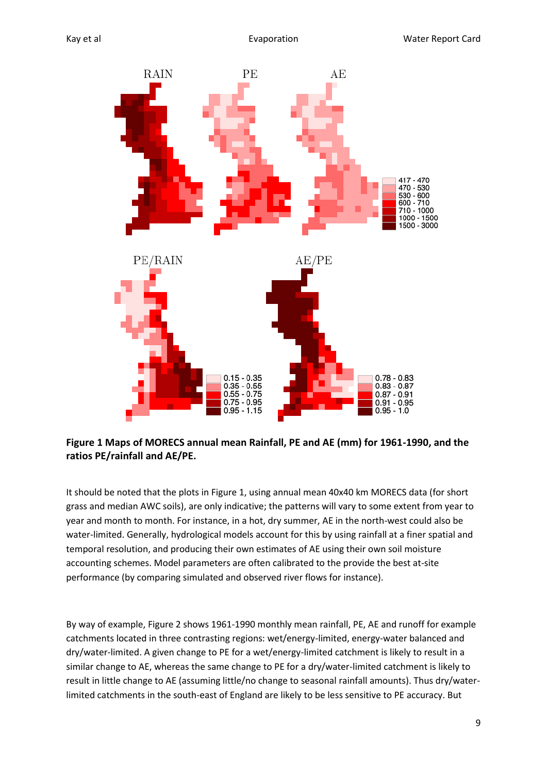

<span id="page-8-0"></span>**Figure 1 Maps of MORECS annual mean Rainfall, PE and AE (mm) for 1961-1990, and the ratios PE/rainfall and AE/PE.** 

It should be noted that the plots in [Figure 1,](#page-8-0) using annual mean 40x40 km MORECS data (for short grass and median AWC soils), are only indicative; the patterns will vary to some extent from year to year and month to month. For instance, in a hot, dry summer, AE in the north-west could also be water-limited. Generally, hydrological models account for this by using rainfall at a finer spatial and temporal resolution, and producing their own estimates of AE using their own soil moisture accounting schemes. Model parameters are often calibrated to the provide the best at-site performance (by comparing simulated and observed river flows for instance).

By way of example, [Figure 2](#page-9-0) shows 1961-1990 monthly mean rainfall, PE, AE and runoff for example catchments located in three contrasting regions: wet/energy-limited, energy-water balanced and dry/water-limited. A given change to PE for a wet/energy-limited catchment is likely to result in a similar change to AE, whereas the same change to PE for a dry/water-limited catchment is likely to result in little change to AE (assuming little/no change to seasonal rainfall amounts). Thus dry/waterlimited catchments in the south-east of England are likely to be less sensitive to PE accuracy. But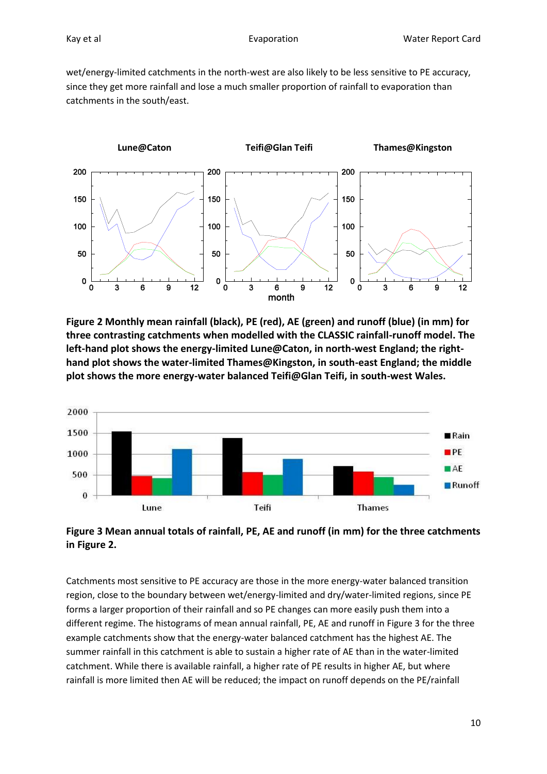wet/energy-limited catchments in the north-west are also likely to be less sensitive to PE accuracy, since they get more rainfall and lose a much smaller proportion of rainfall to evaporation than catchments in the south/east.



<span id="page-9-0"></span>**Figure 2 Monthly mean rainfall (black), PE (red), AE (green) and runoff (blue) (in mm) for three contrasting catchments when modelled with the CLASSIC rainfall-runoff model. The left-hand plot shows the energy-limited Lune@Caton, in north-west England; the righthand plot shows the water-limited Thames@Kingston, in south-east England; the middle plot shows the more energy-water balanced Teifi@Glan Teifi, in south-west Wales.**



<span id="page-9-1"></span>**Figure 3 Mean annual totals of rainfall, PE, AE and runoff (in mm) for the three catchments in [Figure 2.](#page-9-0)**

Catchments most sensitive to PE accuracy are those in the more energy-water balanced transition region, close to the boundary between wet/energy-limited and dry/water-limited regions, since PE forms a larger proportion of their rainfall and so PE changes can more easily push them into a different regime. The histograms of mean annual rainfall, PE, AE and runoff in [Figure 3](#page-9-1) for the three example catchments show that the energy-water balanced catchment has the highest AE. The summer rainfall in this catchment is able to sustain a higher rate of AE than in the water-limited catchment. While there is available rainfall, a higher rate of PE results in higher AE, but where rainfall is more limited then AE will be reduced; the impact on runoff depends on the PE/rainfall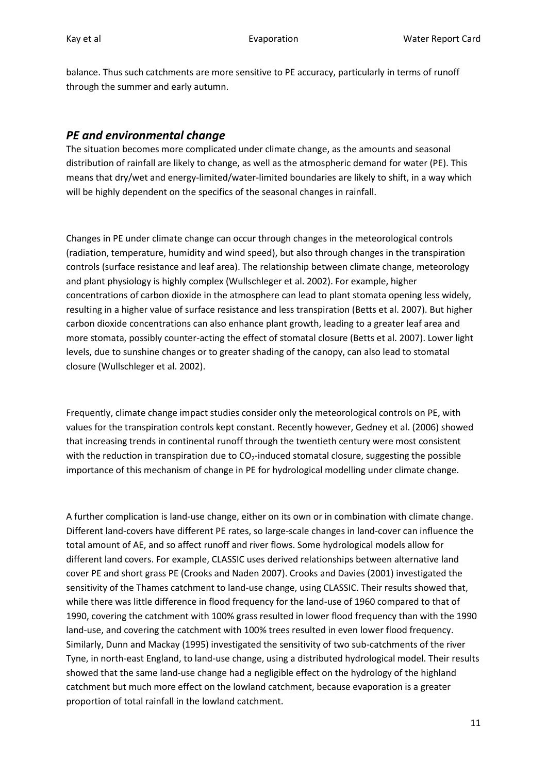balance. Thus such catchments are more sensitive to PE accuracy, particularly in terms of runoff through the summer and early autumn.

#### *PE and environmental change*

The situation becomes more complicated under climate change, as the amounts and seasonal distribution of rainfall are likely to change, as well as the atmospheric demand for water (PE). This means that dry/wet and energy-limited/water-limited boundaries are likely to shift, in a way which will be highly dependent on the specifics of the seasonal changes in rainfall.

Changes in PE under climate change can occur through changes in the meteorological controls (radiation, temperature, humidity and wind speed), but also through changes in the transpiration controls (surface resistance and leaf area). The relationship between climate change, meteorology and plant physiology is highly complex (Wullschleger et al. 2002). For example, higher concentrations of carbon dioxide in the atmosphere can lead to plant stomata opening less widely, resulting in a higher value of surface resistance and less transpiration (Betts et al. 2007). But higher carbon dioxide concentrations can also enhance plant growth, leading to a greater leaf area and more stomata, possibly counter-acting the effect of stomatal closure (Betts et al. 2007). Lower light levels, due to sunshine changes or to greater shading of the canopy, can also lead to stomatal closure (Wullschleger et al. 2002).

Frequently, climate change impact studies consider only the meteorological controls on PE, with values for the transpiration controls kept constant. Recently however, Gedney et al. (2006) showed that increasing trends in continental runoff through the twentieth century were most consistent with the reduction in transpiration due to  $CO<sub>2</sub>$ -induced stomatal closure, suggesting the possible importance of this mechanism of change in PE for hydrological modelling under climate change.

A further complication is land-use change, either on its own or in combination with climate change. Different land-covers have different PE rates, so large-scale changes in land-cover can influence the total amount of AE, and so affect runoff and river flows. Some hydrological models allow for different land covers. For example, CLASSIC uses derived relationships between alternative land cover PE and short grass PE (Crooks and Naden 2007). Crooks and Davies (2001) investigated the sensitivity of the Thames catchment to land-use change, using CLASSIC. Their results showed that, while there was little difference in flood frequency for the land-use of 1960 compared to that of 1990, covering the catchment with 100% grass resulted in lower flood frequency than with the 1990 land-use, and covering the catchment with 100% trees resulted in even lower flood frequency. Similarly, Dunn and Mackay (1995) investigated the sensitivity of two sub-catchments of the river Tyne, in north-east England, to land-use change, using a distributed hydrological model. Their results showed that the same land-use change had a negligible effect on the hydrology of the highland catchment but much more effect on the lowland catchment, because evaporation is a greater proportion of total rainfall in the lowland catchment.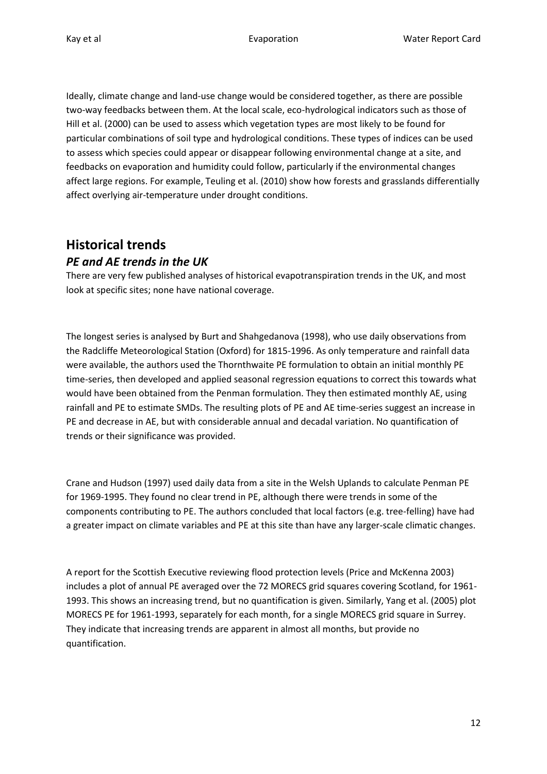Ideally, climate change and land-use change would be considered together, as there are possible two-way feedbacks between them. At the local scale, eco-hydrological indicators such as those of Hill et al. (2000) can be used to assess which vegetation types are most likely to be found for particular combinations of soil type and hydrological conditions. These types of indices can be used to assess which species could appear or disappear following environmental change at a site, and feedbacks on evaporation and humidity could follow, particularly if the environmental changes affect large regions. For example, Teuling et al. (2010) show how forests and grasslands differentially affect overlying air-temperature under drought conditions.

# **Historical trends**

#### <span id="page-11-0"></span>*PE and AE trends in the UK*

There are very few published analyses of historical evapotranspiration trends in the UK, and most look at specific sites; none have national coverage.

The longest series is analysed by Burt and Shahgedanova (1998), who use daily observations from the Radcliffe Meteorological Station (Oxford) for 1815-1996. As only temperature and rainfall data were available, the authors used the Thornthwaite PE formulation to obtain an initial monthly PE time-series, then developed and applied seasonal regression equations to correct this towards what would have been obtained from the Penman formulation. They then estimated monthly AE, using rainfall and PE to estimate SMDs. The resulting plots of PE and AE time-series suggest an increase in PE and decrease in AE, but with considerable annual and decadal variation. No quantification of trends or their significance was provided.

Crane and Hudson (1997) used daily data from a site in the Welsh Uplands to calculate Penman PE for 1969-1995. They found no clear trend in PE, although there were trends in some of the components contributing to PE. The authors concluded that local factors (e.g. tree-felling) have had a greater impact on climate variables and PE at this site than have any larger-scale climatic changes.

A report for the Scottish Executive reviewing flood protection levels (Price and McKenna 2003) includes a plot of annual PE averaged over the 72 MORECS grid squares covering Scotland, for 1961- 1993. This shows an increasing trend, but no quantification is given. Similarly, Yang et al. (2005) plot MORECS PE for 1961-1993, separately for each month, for a single MORECS grid square in Surrey. They indicate that increasing trends are apparent in almost all months, but provide no quantification.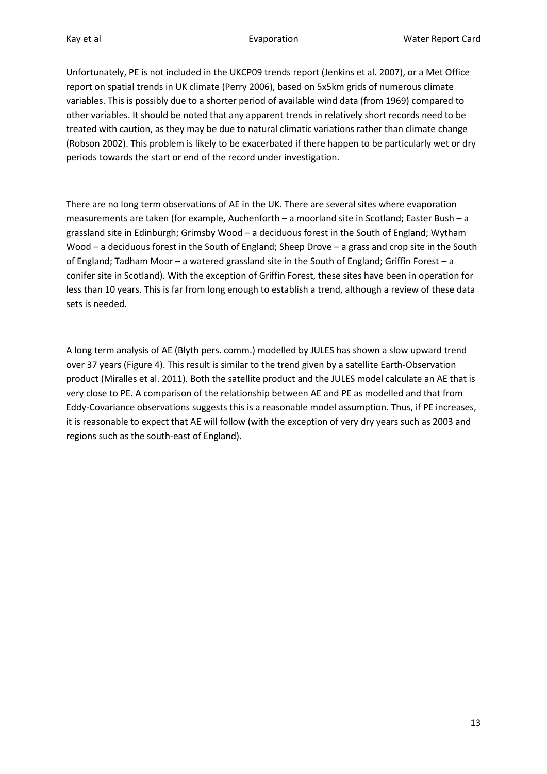Unfortunately, PE is not included in the UKCP09 trends report (Jenkins et al. 2007), or a Met Office report on spatial trends in UK climate (Perry 2006), based on 5x5km grids of numerous climate variables. This is possibly due to a shorter period of available wind data (from 1969) compared to other variables. It should be noted that any apparent trends in relatively short records need to be treated with caution, as they may be due to natural climatic variations rather than climate change (Robson 2002). This problem is likely to be exacerbated if there happen to be particularly wet or dry periods towards the start or end of the record under investigation.

There are no long term observations of AE in the UK. There are several sites where evaporation measurements are taken (for example, Auchenforth – a moorland site in Scotland; Easter Bush – a grassland site in Edinburgh; Grimsby Wood – a deciduous forest in the South of England; Wytham Wood – a deciduous forest in the South of England; Sheep Drove – a grass and crop site in the South of England; Tadham Moor – a watered grassland site in the South of England; Griffin Forest – a conifer site in Scotland). With the exception of Griffin Forest, these sites have been in operation for less than 10 years. This is far from long enough to establish a trend, although a review of these data sets is needed.

A long term analysis of AE (Blyth pers. comm.) modelled by JULES has shown a slow upward trend over 37 years [\(Figure 4\)](#page-13-0). This result is similar to the trend given by a satellite Earth-Observation product (Miralles et al. 2011). Both the satellite product and the JULES model calculate an AE that is very close to PE. A comparison of the relationship between AE and PE as modelled and that from Eddy-Covariance observations suggests this is a reasonable model assumption. Thus, if PE increases, it is reasonable to expect that AE will follow (with the exception of very dry years such as 2003 and regions such as the south-east of England).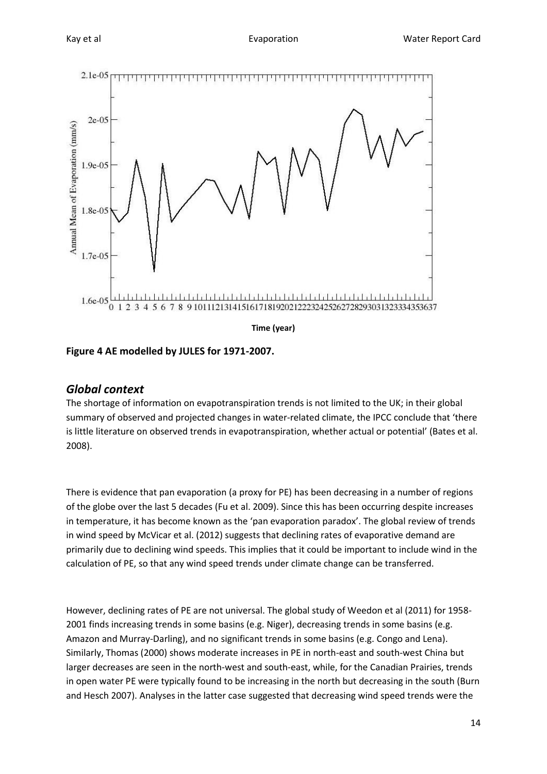

<span id="page-13-0"></span>**Figure 4 AE modelled by JULES for 1971-2007.**

#### *Global context*

The shortage of information on evapotranspiration trends is not limited to the UK; in their global summary of observed and projected changes in water-related climate, the IPCC conclude that 'there is little literature on observed trends in evapotranspiration, whether actual or potential' (Bates et al. 2008).

There is evidence that pan evaporation (a proxy for PE) has been decreasing in a number of regions of the globe over the last 5 decades (Fu et al. 2009). Since this has been occurring despite increases in temperature, it has become known as the 'pan evaporation paradox'. The global review of trends in wind speed by McVicar et al. (2012) suggests that declining rates of evaporative demand are primarily due to declining wind speeds. This implies that it could be important to include wind in the calculation of PE, so that any wind speed trends under climate change can be transferred.

However, declining rates of PE are not universal. The global study of Weedon et al (2011) for 1958- 2001 finds increasing trends in some basins (e.g. Niger), decreasing trends in some basins (e.g. Amazon and Murray-Darling), and no significant trends in some basins (e.g. Congo and Lena). Similarly, Thomas (2000) shows moderate increases in PE in north-east and south-west China but larger decreases are seen in the north-west and south-east, while, for the Canadian Prairies, trends in open water PE were typically found to be increasing in the north but decreasing in the south (Burn and Hesch 2007). Analyses in the latter case suggested that decreasing wind speed trends were the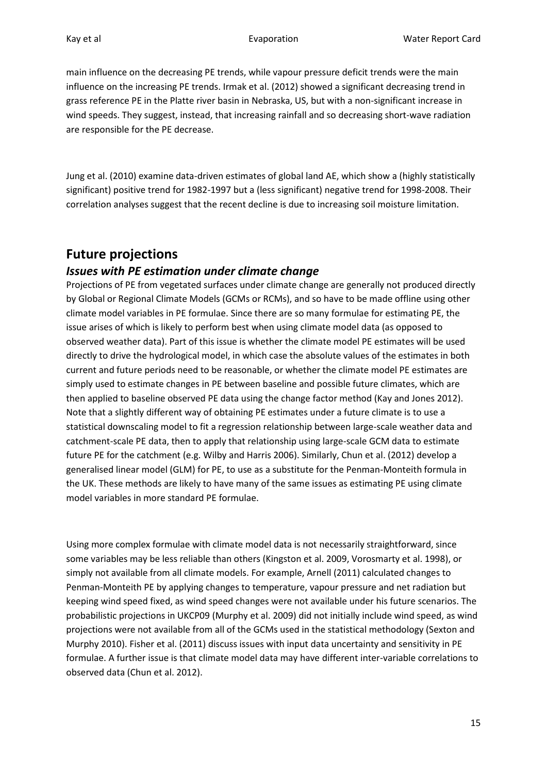main influence on the decreasing PE trends, while vapour pressure deficit trends were the main influence on the increasing PE trends. Irmak et al. (2012) showed a significant decreasing trend in grass reference PE in the Platte river basin in Nebraska, US, but with a non-significant increase in wind speeds. They suggest, instead, that increasing rainfall and so decreasing short-wave radiation are responsible for the PE decrease.

Jung et al. (2010) examine data-driven estimates of global land AE, which show a (highly statistically significant) positive trend for 1982-1997 but a (less significant) negative trend for 1998-2008. Their correlation analyses suggest that the recent decline is due to increasing soil moisture limitation.

# **Future projections**

#### *Issues with PE estimation under climate change*

Projections of PE from vegetated surfaces under climate change are generally not produced directly by Global or Regional Climate Models (GCMs or RCMs), and so have to be made offline using other climate model variables in PE formulae. Since there are so many formulae for estimating PE, the issue arises of which is likely to perform best when using climate model data (as opposed to observed weather data). Part of this issue is whether the climate model PE estimates will be used directly to drive the hydrological model, in which case the absolute values of the estimates in both current and future periods need to be reasonable, or whether the climate model PE estimates are simply used to estimate changes in PE between baseline and possible future climates, which are then applied to baseline observed PE data using the change factor method (Kay and Jones 2012). Note that a slightly different way of obtaining PE estimates under a future climate is to use a statistical downscaling model to fit a regression relationship between large-scale weather data and catchment-scale PE data, then to apply that relationship using large-scale GCM data to estimate future PE for the catchment (e.g. Wilby and Harris 2006). Similarly, Chun et al. (2012) develop a generalised linear model (GLM) for PE, to use as a substitute for the Penman-Monteith formula in the UK. These methods are likely to have many of the same issues as estimating PE using climate model variables in more standard PE formulae.

Using more complex formulae with climate model data is not necessarily straightforward, since some variables may be less reliable than others (Kingston et al. 2009, Vorosmarty et al. 1998), or simply not available from all climate models. For example, Arnell (2011) calculated changes to Penman-Monteith PE by applying changes to temperature, vapour pressure and net radiation but keeping wind speed fixed, as wind speed changes were not available under his future scenarios. The probabilistic projections in UKCP09 (Murphy et al. 2009) did not initially include wind speed, as wind projections were not available from all of the GCMs used in the statistical methodology (Sexton and Murphy 2010). Fisher et al. (2011) discuss issues with input data uncertainty and sensitivity in PE formulae. A further issue is that climate model data may have different inter-variable correlations to observed data (Chun et al. 2012).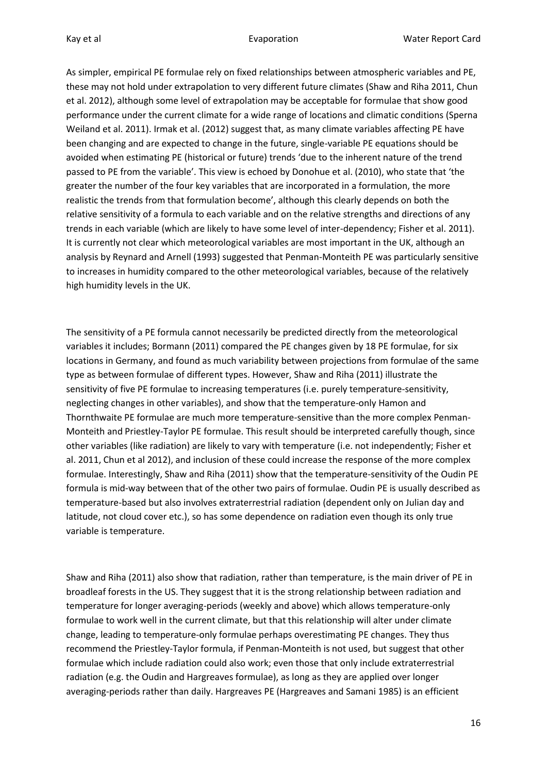As simpler, empirical PE formulae rely on fixed relationships between atmospheric variables and PE, these may not hold under extrapolation to very different future climates (Shaw and Riha 2011, Chun et al. 2012), although some level of extrapolation may be acceptable for formulae that show good performance under the current climate for a wide range of locations and climatic conditions (Sperna Weiland et al. 2011). Irmak et al. (2012) suggest that, as many climate variables affecting PE have been changing and are expected to change in the future, single-variable PE equations should be avoided when estimating PE (historical or future) trends 'due to the inherent nature of the trend passed to PE from the variable'. This view is echoed by Donohue et al. (2010), who state that 'the greater the number of the four key variables that are incorporated in a formulation, the more realistic the trends from that formulation become', although this clearly depends on both the relative sensitivity of a formula to each variable and on the relative strengths and directions of any trends in each variable (which are likely to have some level of inter-dependency; Fisher et al. 2011). It is currently not clear which meteorological variables are most important in the UK, although an analysis by Reynard and Arnell (1993) suggested that Penman-Monteith PE was particularly sensitive to increases in humidity compared to the other meteorological variables, because of the relatively high humidity levels in the UK.

The sensitivity of a PE formula cannot necessarily be predicted directly from the meteorological variables it includes; Bormann (2011) compared the PE changes given by 18 PE formulae, for six locations in Germany, and found as much variability between projections from formulae of the same type as between formulae of different types. However, Shaw and Riha (2011) illustrate the sensitivity of five PE formulae to increasing temperatures (i.e. purely temperature-sensitivity, neglecting changes in other variables), and show that the temperature-only Hamon and Thornthwaite PE formulae are much more temperature-sensitive than the more complex Penman-Monteith and Priestley-Taylor PE formulae. This result should be interpreted carefully though, since other variables (like radiation) are likely to vary with temperature (i.e. not independently; Fisher et al. 2011, Chun et al 2012), and inclusion of these could increase the response of the more complex formulae. Interestingly, Shaw and Riha (2011) show that the temperature-sensitivity of the Oudin PE formula is mid-way between that of the other two pairs of formulae. Oudin PE is usually described as temperature-based but also involves extraterrestrial radiation (dependent only on Julian day and latitude, not cloud cover etc.), so has some dependence on radiation even though its only true variable is temperature.

Shaw and Riha (2011) also show that radiation, rather than temperature, is the main driver of PE in broadleaf forests in the US. They suggest that it is the strong relationship between radiation and temperature for longer averaging-periods (weekly and above) which allows temperature-only formulae to work well in the current climate, but that this relationship will alter under climate change, leading to temperature-only formulae perhaps overestimating PE changes. They thus recommend the Priestley-Taylor formula, if Penman-Monteith is not used, but suggest that other formulae which include radiation could also work; even those that only include extraterrestrial radiation (e.g. the Oudin and Hargreaves formulae), as long as they are applied over longer averaging-periods rather than daily. Hargreaves PE (Hargreaves and Samani 1985) is an efficient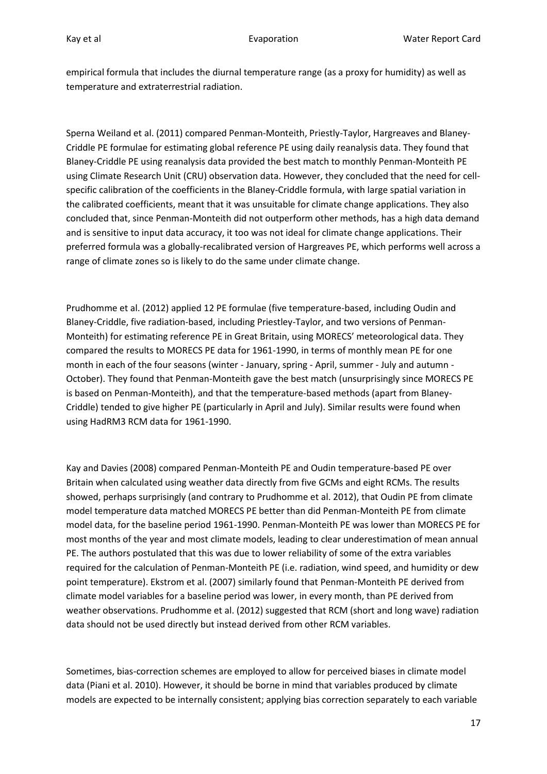empirical formula that includes the diurnal temperature range (as a proxy for humidity) as well as temperature and extraterrestrial radiation.

Sperna Weiland et al. (2011) compared Penman-Monteith, Priestly-Taylor, Hargreaves and Blaney-Criddle PE formulae for estimating global reference PE using daily reanalysis data. They found that Blaney-Criddle PE using reanalysis data provided the best match to monthly Penman-Monteith PE using Climate Research Unit (CRU) observation data. However, they concluded that the need for cellspecific calibration of the coefficients in the Blaney-Criddle formula, with large spatial variation in the calibrated coefficients, meant that it was unsuitable for climate change applications. They also concluded that, since Penman-Monteith did not outperform other methods, has a high data demand and is sensitive to input data accuracy, it too was not ideal for climate change applications. Their preferred formula was a globally-recalibrated version of Hargreaves PE, which performs well across a range of climate zones so is likely to do the same under climate change.

Prudhomme et al. (2012) applied 12 PE formulae (five temperature-based, including Oudin and Blaney-Criddle, five radiation-based, including Priestley-Taylor, and two versions of Penman-Monteith) for estimating reference PE in Great Britain, using MORECS' meteorological data. They compared the results to MORECS PE data for 1961-1990, in terms of monthly mean PE for one month in each of the four seasons (winter - January, spring - April, summer - July and autumn - October). They found that Penman-Monteith gave the best match (unsurprisingly since MORECS PE is based on Penman-Monteith), and that the temperature-based methods (apart from Blaney-Criddle) tended to give higher PE (particularly in April and July). Similar results were found when using HadRM3 RCM data for 1961-1990.

Kay and Davies (2008) compared Penman-Monteith PE and Oudin temperature-based PE over Britain when calculated using weather data directly from five GCMs and eight RCMs. The results showed, perhaps surprisingly (and contrary to Prudhomme et al. 2012), that Oudin PE from climate model temperature data matched MORECS PE better than did Penman-Monteith PE from climate model data, for the baseline period 1961-1990. Penman-Monteith PE was lower than MORECS PE for most months of the year and most climate models, leading to clear underestimation of mean annual PE. The authors postulated that this was due to lower reliability of some of the extra variables required for the calculation of Penman-Monteith PE (i.e. radiation, wind speed, and humidity or dew point temperature). Ekstrom et al. (2007) similarly found that Penman-Monteith PE derived from climate model variables for a baseline period was lower, in every month, than PE derived from weather observations. Prudhomme et al. (2012) suggested that RCM (short and long wave) radiation data should not be used directly but instead derived from other RCM variables.

Sometimes, bias-correction schemes are employed to allow for perceived biases in climate model data (Piani et al. 2010). However, it should be borne in mind that variables produced by climate models are expected to be internally consistent; applying bias correction separately to each variable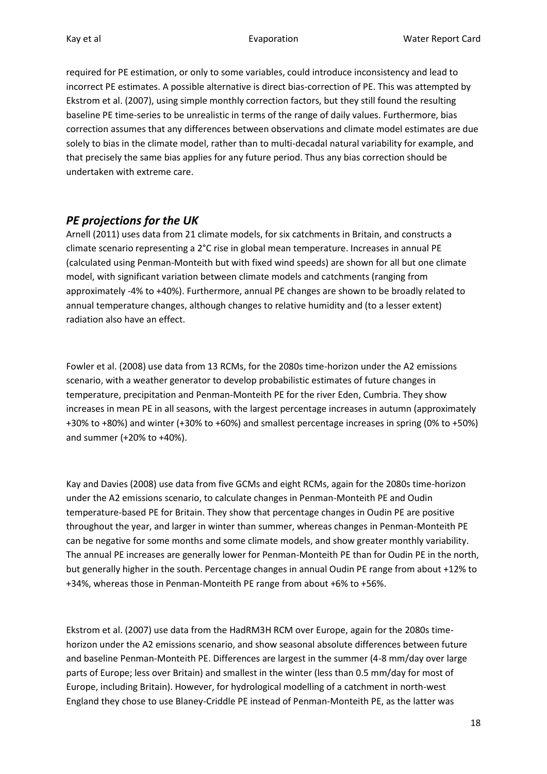required for PE estimation, or only to some variables, could introduce inconsistency and lead to incorrect PE estimates. A possible alternative is direct bias-correction of PE. This was attempted by Ekstrom et al. (2007), using simple monthly correction factors, but they still found the resulting baseline PE time-series to be unrealistic in terms of the range of daily values. Furthermore, bias correction assumes that any differences between observations and climate model estimates are due solely to bias in the climate model, rather than to multi-decadal natural variability for example, and that precisely the same bias applies for any future period. Thus any bias correction should be undertaken with extreme care.

#### <span id="page-17-0"></span>*PE projections for the UK*

Arnell (2011) uses data from 21 climate models, for six catchments in Britain, and constructs a climate scenario representing a 2°C rise in global mean temperature. Increases in annual PE (calculated using Penman-Monteith but with fixed wind speeds) are shown for all but one climate model, with significant variation between climate models and catchments (ranging from approximately -4% to +40%). Furthermore, annual PE changes are shown to be broadly related to annual temperature changes, although changes to relative humidity and (to a lesser extent) radiation also have an effect.

Fowler et al. (2008) use data from 13 RCMs, for the 2080s time-horizon under the A2 emissions scenario, with a weather generator to develop probabilistic estimates of future changes in temperature, precipitation and Penman-Monteith PE for the river Eden, Cumbria. They show increases in mean PE in all seasons, with the largest percentage increases in autumn (approximately +30% to +80%) and winter (+30% to +60%) and smallest percentage increases in spring (0% to +50%) and summer (+20% to +40%).

Kay and Davies (2008) use data from five GCMs and eight RCMs, again for the 2080s time-horizon under the A2 emissions scenario, to calculate changes in Penman-Monteith PE and Oudin temperature-based PE for Britain. They show that percentage changes in Oudin PE are positive throughout the year, and larger in winter than summer, whereas changes in Penman-Monteith PE can be negative for some months and some climate models, and show greater monthly variability. The annual PE increases are generally lower for Penman-Monteith PE than for Oudin PE in the north, but generally higher in the south. Percentage changes in annual Oudin PE range from about +12% to +34%, whereas those in Penman-Monteith PE range from about +6% to +56%.

Ekstrom et al. (2007) use data from the HadRM3H RCM over Europe, again for the 2080s timehorizon under the A2 emissions scenario, and show seasonal absolute differences between future and baseline Penman-Monteith PE. Differences are largest in the summer (4-8 mm/day over large parts of Europe; less over Britain) and smallest in the winter (less than 0.5 mm/day for most of Europe, including Britain). However, for hydrological modelling of a catchment in north-west England they chose to use Blaney-Criddle PE instead of Penman-Monteith PE, as the latter was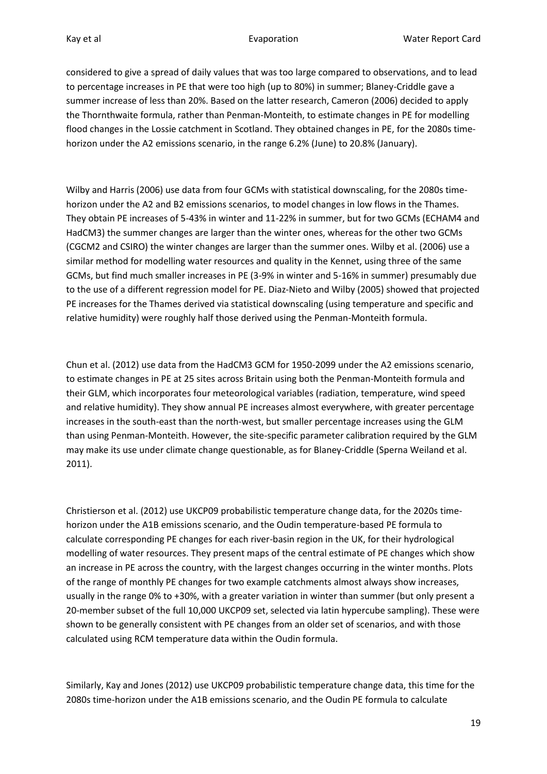considered to give a spread of daily values that was too large compared to observations, and to lead to percentage increases in PE that were too high (up to 80%) in summer; Blaney-Criddle gave a summer increase of less than 20%. Based on the latter research, Cameron (2006) decided to apply the Thornthwaite formula, rather than Penman-Monteith, to estimate changes in PE for modelling flood changes in the Lossie catchment in Scotland. They obtained changes in PE, for the 2080s timehorizon under the A2 emissions scenario, in the range 6.2% (June) to 20.8% (January).

Wilby and Harris (2006) use data from four GCMs with statistical downscaling, for the 2080s timehorizon under the A2 and B2 emissions scenarios, to model changes in low flows in the Thames. They obtain PE increases of 5-43% in winter and 11-22% in summer, but for two GCMs (ECHAM4 and HadCM3) the summer changes are larger than the winter ones, whereas for the other two GCMs (CGCM2 and CSIRO) the winter changes are larger than the summer ones. Wilby et al. (2006) use a similar method for modelling water resources and quality in the Kennet, using three of the same GCMs, but find much smaller increases in PE (3-9% in winter and 5-16% in summer) presumably due to the use of a different regression model for PE. Diaz-Nieto and Wilby (2005) showed that projected PE increases for the Thames derived via statistical downscaling (using temperature and specific and relative humidity) were roughly half those derived using the Penman-Monteith formula.

Chun et al. (2012) use data from the HadCM3 GCM for 1950-2099 under the A2 emissions scenario, to estimate changes in PE at 25 sites across Britain using both the Penman-Monteith formula and their GLM, which incorporates four meteorological variables (radiation, temperature, wind speed and relative humidity). They show annual PE increases almost everywhere, with greater percentage increases in the south-east than the north-west, but smaller percentage increases using the GLM than using Penman-Monteith. However, the site-specific parameter calibration required by the GLM may make its use under climate change questionable, as for Blaney-Criddle (Sperna Weiland et al. 2011).

Christierson et al. (2012) use UKCP09 probabilistic temperature change data, for the 2020s timehorizon under the A1B emissions scenario, and the Oudin temperature-based PE formula to calculate corresponding PE changes for each river-basin region in the UK, for their hydrological modelling of water resources. They present maps of the central estimate of PE changes which show an increase in PE across the country, with the largest changes occurring in the winter months. Plots of the range of monthly PE changes for two example catchments almost always show increases, usually in the range 0% to +30%, with a greater variation in winter than summer (but only present a 20-member subset of the full 10,000 UKCP09 set, selected via latin hypercube sampling). These were shown to be generally consistent with PE changes from an older set of scenarios, and with those calculated using RCM temperature data within the Oudin formula.

Similarly, Kay and Jones (2012) use UKCP09 probabilistic temperature change data, this time for the 2080s time-horizon under the A1B emissions scenario, and the Oudin PE formula to calculate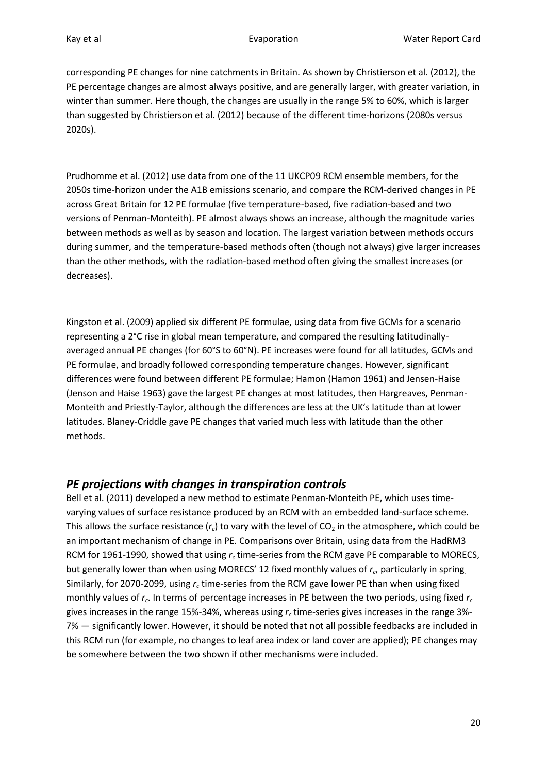corresponding PE changes for nine catchments in Britain. As shown by Christierson et al. (2012), the PE percentage changes are almost always positive, and are generally larger, with greater variation, in winter than summer. Here though, the changes are usually in the range 5% to 60%, which is larger than suggested by Christierson et al. (2012) because of the different time-horizons (2080s versus 2020s).

Prudhomme et al. (2012) use data from one of the 11 UKCP09 RCM ensemble members, for the 2050s time-horizon under the A1B emissions scenario, and compare the RCM-derived changes in PE across Great Britain for 12 PE formulae (five temperature-based, five radiation-based and two versions of Penman-Monteith). PE almost always shows an increase, although the magnitude varies between methods as well as by season and location. The largest variation between methods occurs during summer, and the temperature-based methods often (though not always) give larger increases than the other methods, with the radiation-based method often giving the smallest increases (or decreases).

Kingston et al. (2009) applied six different PE formulae, using data from five GCMs for a scenario representing a 2°C rise in global mean temperature, and compared the resulting latitudinallyaveraged annual PE changes (for 60°S to 60°N). PE increases were found for all latitudes, GCMs and PE formulae, and broadly followed corresponding temperature changes. However, significant differences were found between different PE formulae; Hamon (Hamon 1961) and Jensen-Haise (Jenson and Haise 1963) gave the largest PE changes at most latitudes, then Hargreaves, Penman-Monteith and Priestly-Taylor, although the differences are less at the UK's latitude than at lower latitudes. Blaney-Criddle gave PE changes that varied much less with latitude than the other methods.

#### <span id="page-19-0"></span>*PE projections with changes in transpiration controls*

Bell et al. (2011) developed a new method to estimate Penman-Monteith PE, which uses timevarying values of surface resistance produced by an RCM with an embedded land-surface scheme. This allows the surface resistance  $(r_c)$  to vary with the level of  $CO_2$  in the atmosphere, which could be an important mechanism of change in PE. Comparisons over Britain, using data from the HadRM3 RCM for 1961-1990, showed that using *r<sup>c</sup>* time-series from the RCM gave PE comparable to MORECS, but generally lower than when using MORECS' 12 fixed monthly values of *r<sup>c</sup>* , particularly in spring*.*  Similarly, for 2070-2099, using *r<sup>c</sup>* time-series from the RCM gave lower PE than when using fixed monthly values of *r<sup>c</sup>* . In terms of percentage increases in PE between the two periods, using fixed *r<sup>c</sup>* gives increases in the range 15%-34%, whereas using *r<sup>c</sup>* time-series gives increases in the range 3%- 7% — significantly lower. However, it should be noted that not all possible feedbacks are included in this RCM run (for example, no changes to leaf area index or land cover are applied); PE changes may be somewhere between the two shown if other mechanisms were included.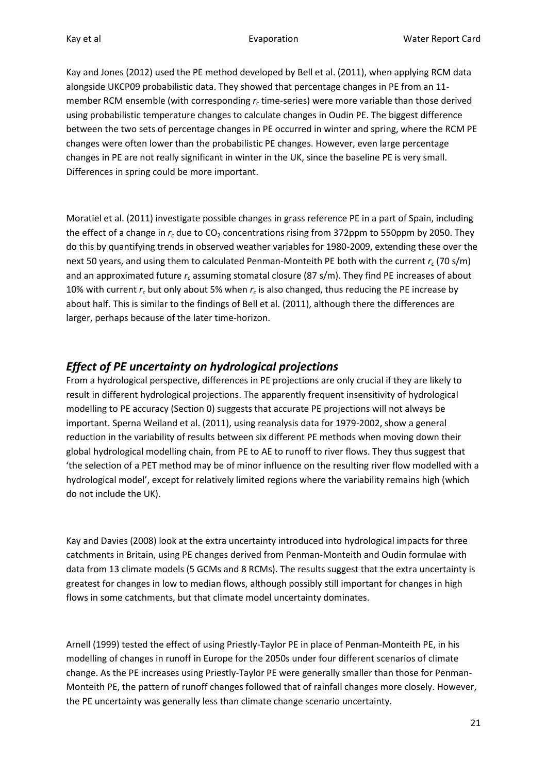Kay and Jones (2012) used the PE method developed by Bell et al. (2011), when applying RCM data alongside UKCP09 probabilistic data. They showed that percentage changes in PE from an 11 member RCM ensemble (with corresponding *r<sup>c</sup>* time-series) were more variable than those derived using probabilistic temperature changes to calculate changes in Oudin PE. The biggest difference between the two sets of percentage changes in PE occurred in winter and spring, where the RCM PE changes were often lower than the probabilistic PE changes. However, even large percentage changes in PE are not really significant in winter in the UK, since the baseline PE is very small. Differences in spring could be more important.

Moratiel et al. (2011) investigate possible changes in grass reference PE in a part of Spain, including the effect of a change in  $r_c$  due to CO<sub>2</sub> concentrations rising from 372ppm to 550ppm by 2050. They do this by quantifying trends in observed weather variables for 1980-2009, extending these over the next 50 years, and using them to calculated Penman-Monteith PE both with the current *r<sup>c</sup>* (70 s/m) and an approximated future *r<sup>c</sup>* assuming stomatal closure (87 s/m). They find PE increases of about 10% with current *r<sup>c</sup>* but only about 5% when *r<sup>c</sup>* is also changed, thus reducing the PE increase by about half. This is similar to the findings of Bell et al. (2011), although there the differences are larger, perhaps because of the later time-horizon.

### *Effect of PE uncertainty on hydrological projections*

From a hydrological perspective, differences in PE projections are only crucial if they are likely to result in different hydrological projections. The apparently frequent insensitivity of hydrological modelling to PE accuracy (Sectio[n 0\)](#page-6-0) suggests that accurate PE projections will not always be important. Sperna Weiland et al. (2011), using reanalysis data for 1979-2002, show a general reduction in the variability of results between six different PE methods when moving down their global hydrological modelling chain, from PE to AE to runoff to river flows. They thus suggest that 'the selection of a PET method may be of minor influence on the resulting river flow modelled with a hydrological model', except for relatively limited regions where the variability remains high (which do not include the UK).

Kay and Davies (2008) look at the extra uncertainty introduced into hydrological impacts for three catchments in Britain, using PE changes derived from Penman-Monteith and Oudin formulae with data from 13 climate models (5 GCMs and 8 RCMs). The results suggest that the extra uncertainty is greatest for changes in low to median flows, although possibly still important for changes in high flows in some catchments, but that climate model uncertainty dominates.

Arnell (1999) tested the effect of using Priestly-Taylor PE in place of Penman-Monteith PE, in his modelling of changes in runoff in Europe for the 2050s under four different scenarios of climate change. As the PE increases using Priestly-Taylor PE were generally smaller than those for Penman-Monteith PE, the pattern of runoff changes followed that of rainfall changes more closely. However, the PE uncertainty was generally less than climate change scenario uncertainty.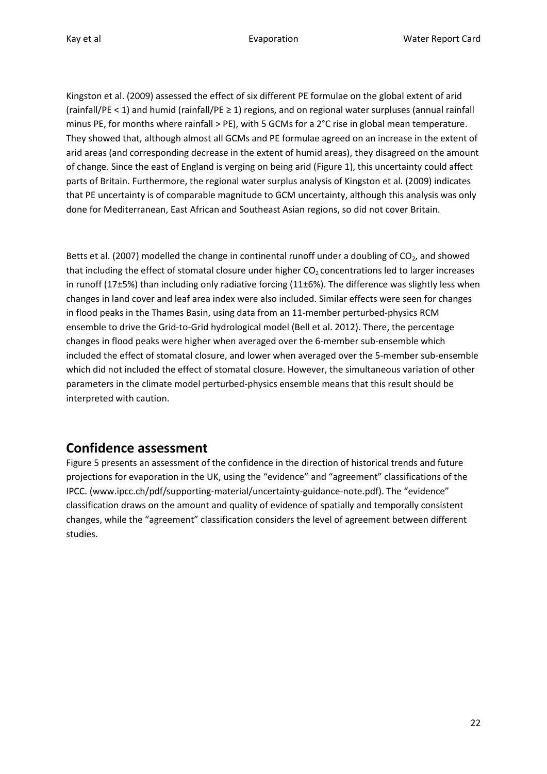Kingston et al. (2009) assessed the effect of six different PE formulae on the global extent of arid (rainfall/PE < 1) and humid (rainfall/PE  $\geq$  1) regions, and on regional water surpluses (annual rainfall minus PE, for months where rainfall > PE), with 5 GCMs for a 2°C rise in global mean temperature. They showed that, although almost all GCMs and PE formulae agreed on an increase in the extent of arid areas (and corresponding decrease in the extent of humid areas), they disagreed on the amount of change. Since the east of England is verging on being arid [\(Figure 1\)](#page-8-0), this uncertainty could affect parts of Britain. Furthermore, the regional water surplus analysis of Kingston et al. (2009) indicates that PE uncertainty is of comparable magnitude to GCM uncertainty, although this analysis was only done for Mediterranean, East African and Southeast Asian regions, so did not cover Britain.

Betts et al. (2007) modelled the change in continental runoff under a doubling of  $CO<sub>2</sub>$ , and showed that including the effect of stomatal closure under higher  $CO<sub>2</sub>$  concentrations led to larger increases in runoff (17±5%) than including only radiative forcing (11±6%). The difference was slightly less when changes in land cover and leaf area index were also included. Similar effects were seen for changes in flood peaks in the Thames Basin, using data from an 11-member perturbed-physics RCM ensemble to drive the Grid-to-Grid hydrological model (Bell et al. 2012). There, the percentage changes in flood peaks were higher when averaged over the 6-member sub-ensemble which included the effect of stomatal closure, and lower when averaged over the 5-member sub-ensemble which did not included the effect of stomatal closure. However, the simultaneous variation of other parameters in the climate model perturbed-physics ensemble means that this result should be interpreted with caution.

# **Confidence assessment**

[Figure 5](#page-22-0) presents an assessment of the confidence in the direction of historical trends and future projections for evaporation in the UK, using the "evidence" and "agreement" classifications of the IPCC. (www.ipcc.ch/pdf/supporting-material/uncertainty-guidance-note.pdf). The "evidence" classification draws on the amount and quality of evidence of spatially and temporally consistent changes, while the "agreement" classification considers the level of agreement between different studies.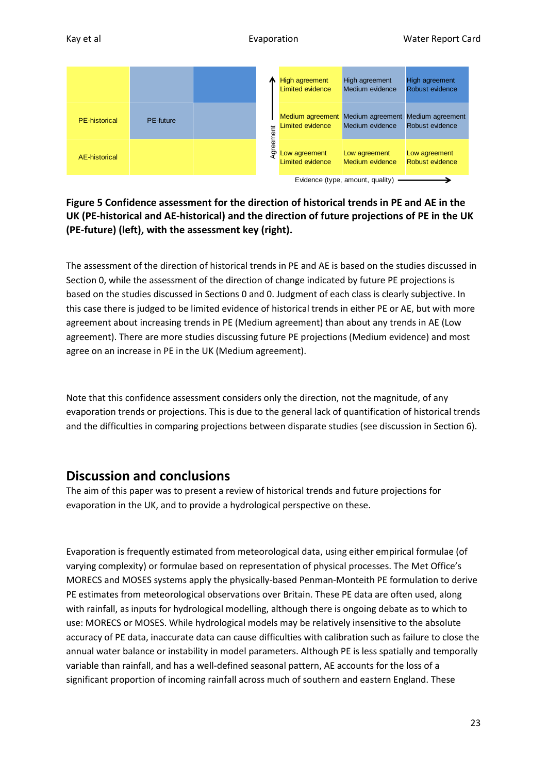| Kay et al |  |  | Evaporation | <b>Water Report Card</b> |  |
|-----------|--|--|-------------|--------------------------|--|
|           |  |  |             |                          |  |

|                                  |                  |  |          | High agreement<br>Limited evidence | High agreement<br>Medium evidence                                     | High agreement<br>Robust evidence |  |  |
|----------------------------------|------------------|--|----------|------------------------------------|-----------------------------------------------------------------------|-----------------------------------|--|--|
| <b>PE-historical</b>             | <b>PE-future</b> |  |          | <b>Limited evidence</b>            | Medium agreement Medium agreement Medium agreement<br>Medium evidence | Robust evidence                   |  |  |
| AE-historical                    |                  |  | greement | Low agreement<br>Limited evidence  | Low agreement<br>Medium evidence                                      | Low agreement<br>Robust evidence  |  |  |
| Evidence (type, amount, quality) |                  |  |          |                                    |                                                                       |                                   |  |  |

#### <span id="page-22-0"></span>**Figure 5 Confidence assessment for the direction of historical trends in PE and AE in the UK (PE-historical and AE-historical) and the direction of future projections of PE in the UK (PE-future) (left), with the assessment key (right).**

The assessment of the direction of historical trends in PE and AE is based on the studies discussed in Sectio[n 0,](#page-11-0) while the assessment of the direction of change indicated by future PE projections is based on the studies discussed in Sections [0](#page-17-0) and [0.](#page-19-0) Judgment of each class is clearly subjective. In this case there is judged to be limited evidence of historical trends in either PE or AE, but with more agreement about increasing trends in PE (Medium agreement) than about any trends in AE (Low agreement). There are more studies discussing future PE projections (Medium evidence) and most agree on an increase in PE in the UK (Medium agreement).

Note that this confidence assessment considers only the direction, not the magnitude, of any evaporation trends or projections. This is due to the general lack of quantification of historical trends and the difficulties in comparing projections between disparate studies (see discussion in Section 6).

# **Discussion and conclusions**

The aim of this paper was to present a review of historical trends and future projections for evaporation in the UK, and to provide a hydrological perspective on these.

Evaporation is frequently estimated from meteorological data, using either empirical formulae (of varying complexity) or formulae based on representation of physical processes. The Met Office's MORECS and MOSES systems apply the physically-based Penman-Monteith PE formulation to derive PE estimates from meteorological observations over Britain. These PE data are often used, along with rainfall, as inputs for hydrological modelling, although there is ongoing debate as to which to use: MORECS or MOSES. While hydrological models may be relatively insensitive to the absolute accuracy of PE data, inaccurate data can cause difficulties with calibration such as failure to close the annual water balance or instability in model parameters. Although PE is less spatially and temporally variable than rainfall, and has a well-defined seasonal pattern, AE accounts for the loss of a significant proportion of incoming rainfall across much of southern and eastern England. These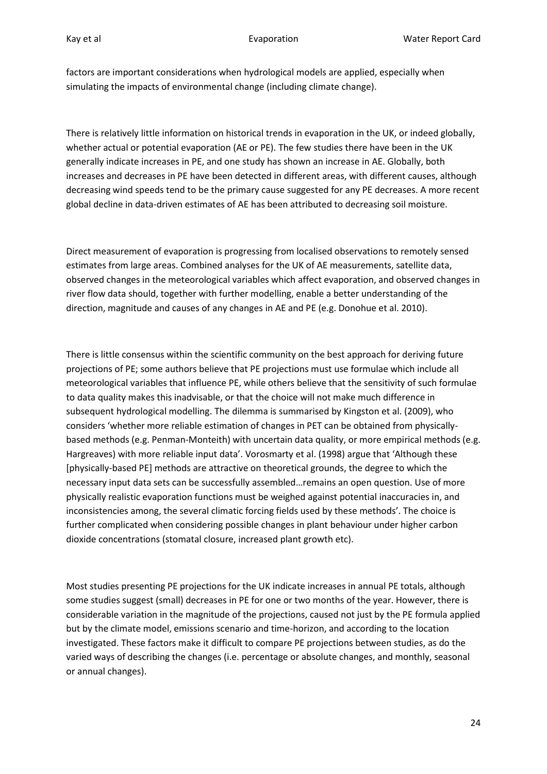factors are important considerations when hydrological models are applied, especially when simulating the impacts of environmental change (including climate change).

There is relatively little information on historical trends in evaporation in the UK, or indeed globally, whether actual or potential evaporation (AE or PE). The few studies there have been in the UK generally indicate increases in PE, and one study has shown an increase in AE. Globally, both increases and decreases in PE have been detected in different areas, with different causes, although decreasing wind speeds tend to be the primary cause suggested for any PE decreases. A more recent global decline in data-driven estimates of AE has been attributed to decreasing soil moisture.

Direct measurement of evaporation is progressing from localised observations to remotely sensed estimates from large areas. Combined analyses for the UK of AE measurements, satellite data, observed changes in the meteorological variables which affect evaporation, and observed changes in river flow data should, together with further modelling, enable a better understanding of the direction, magnitude and causes of any changes in AE and PE (e.g. Donohue et al. 2010).

There is little consensus within the scientific community on the best approach for deriving future projections of PE; some authors believe that PE projections must use formulae which include all meteorological variables that influence PE, while others believe that the sensitivity of such formulae to data quality makes this inadvisable, or that the choice will not make much difference in subsequent hydrological modelling. The dilemma is summarised by Kingston et al. (2009), who considers 'whether more reliable estimation of changes in PET can be obtained from physicallybased methods (e.g. Penman-Monteith) with uncertain data quality, or more empirical methods (e.g. Hargreaves) with more reliable input data'. Vorosmarty et al. (1998) argue that 'Although these [physically-based PE] methods are attractive on theoretical grounds, the degree to which the necessary input data sets can be successfully assembled…remains an open question. Use of more physically realistic evaporation functions must be weighed against potential inaccuracies in, and inconsistencies among, the several climatic forcing fields used by these methods'. The choice is further complicated when considering possible changes in plant behaviour under higher carbon dioxide concentrations (stomatal closure, increased plant growth etc).

Most studies presenting PE projections for the UK indicate increases in annual PE totals, although some studies suggest (small) decreases in PE for one or two months of the year. However, there is considerable variation in the magnitude of the projections, caused not just by the PE formula applied but by the climate model, emissions scenario and time-horizon, and according to the location investigated. These factors make it difficult to compare PE projections between studies, as do the varied ways of describing the changes (i.e. percentage or absolute changes, and monthly, seasonal or annual changes).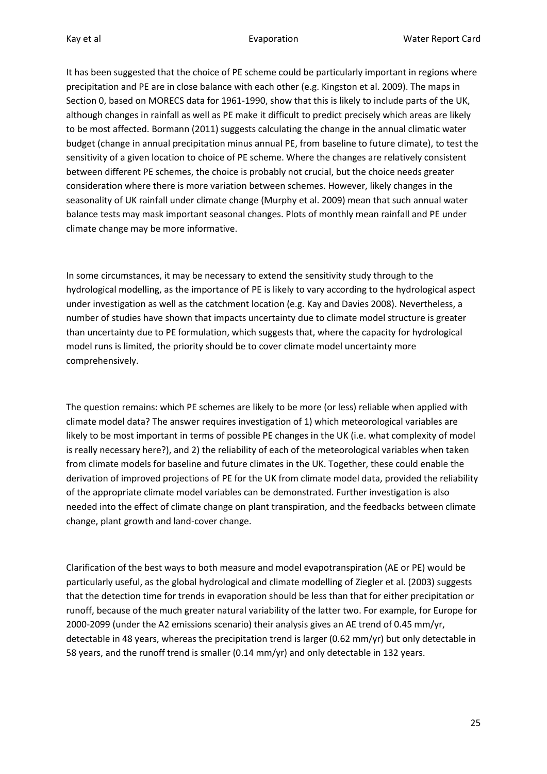It has been suggested that the choice of PE scheme could be particularly important in regions where precipitation and PE are in close balance with each other (e.g. Kingston et al. 2009). The maps in Sectio[n 0,](#page-7-0) based on MORECS data for 1961-1990, show that this is likely to include parts of the UK, although changes in rainfall as well as PE make it difficult to predict precisely which areas are likely to be most affected. Bormann (2011) suggests calculating the change in the annual climatic water budget (change in annual precipitation minus annual PE, from baseline to future climate), to test the sensitivity of a given location to choice of PE scheme. Where the changes are relatively consistent between different PE schemes, the choice is probably not crucial, but the choice needs greater consideration where there is more variation between schemes. However, likely changes in the seasonality of UK rainfall under climate change (Murphy et al. 2009) mean that such annual water balance tests may mask important seasonal changes. Plots of monthly mean rainfall and PE under climate change may be more informative.

In some circumstances, it may be necessary to extend the sensitivity study through to the hydrological modelling, as the importance of PE is likely to vary according to the hydrological aspect under investigation as well as the catchment location (e.g. Kay and Davies 2008). Nevertheless, a number of studies have shown that impacts uncertainty due to climate model structure is greater than uncertainty due to PE formulation, which suggests that, where the capacity for hydrological model runs is limited, the priority should be to cover climate model uncertainty more comprehensively.

The question remains: which PE schemes are likely to be more (or less) reliable when applied with climate model data? The answer requires investigation of 1) which meteorological variables are likely to be most important in terms of possible PE changes in the UK (i.e. what complexity of model is really necessary here?), and 2) the reliability of each of the meteorological variables when taken from climate models for baseline and future climates in the UK. Together, these could enable the derivation of improved projections of PE for the UK from climate model data, provided the reliability of the appropriate climate model variables can be demonstrated. Further investigation is also needed into the effect of climate change on plant transpiration, and the feedbacks between climate change, plant growth and land-cover change.

Clarification of the best ways to both measure and model evapotranspiration (AE or PE) would be particularly useful, as the global hydrological and climate modelling of Ziegler et al. (2003) suggests that the detection time for trends in evaporation should be less than that for either precipitation or runoff, because of the much greater natural variability of the latter two. For example, for Europe for 2000-2099 (under the A2 emissions scenario) their analysis gives an AE trend of 0.45 mm/yr, detectable in 48 years, whereas the precipitation trend is larger (0.62 mm/yr) but only detectable in 58 years, and the runoff trend is smaller (0.14 mm/yr) and only detectable in 132 years.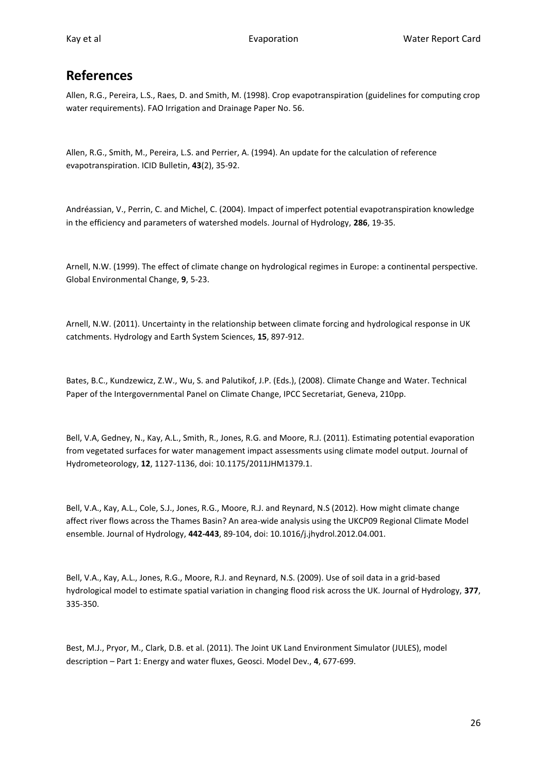# **References**

Allen, R.G., Pereira, L.S., Raes, D. and Smith, M. (1998). Crop evapotranspiration (guidelines for computing crop water requirements). FAO Irrigation and Drainage Paper No. 56.

Allen, R.G., Smith, M., Pereira, L.S. and Perrier, A. (1994). An update for the calculation of reference evapotranspiration. ICID Bulletin, **43**(2), 35-92.

Andréassian, V., Perrin, C. and Michel, C. (2004). Impact of imperfect potential evapotranspiration knowledge in the efficiency and parameters of watershed models. Journal of Hydrology, **286**, 19-35.

Arnell, N.W. (1999). The effect of climate change on hydrological regimes in Europe: a continental perspective. Global Environmental Change, **9**, 5-23.

Arnell, N.W. (2011). Uncertainty in the relationship between climate forcing and hydrological response in UK catchments. Hydrology and Earth System Sciences, **15**, 897-912.

Bates, B.C., Kundzewicz, Z.W., Wu, S. and Palutikof, J.P. (Eds.), (2008). Climate Change and Water. Technical Paper of the Intergovernmental Panel on Climate Change, IPCC Secretariat, Geneva, 210pp.

Bell, V.A, Gedney, N., Kay, A.L., Smith, R., Jones, R.G. and Moore, R.J. (2011). Estimating potential evaporation from vegetated surfaces for water management impact assessments using climate model output. Journal of Hydrometeorology, **12**, 1127-1136, doi: 10.1175/2011JHM1379.1.

Bell, V.A., Kay, A.L., Cole, S.J., Jones, R.G., Moore, R.J. and Reynard, N.S (2012). How might climate change affect river flows across the Thames Basin? An area-wide analysis using the UKCP09 Regional Climate Model ensemble. Journal of Hydrology, **442-443**, 89-104, doi: 10.1016/j.jhydrol.2012.04.001.

Bell, V.A., Kay, A.L., Jones, R.G., Moore, R.J. and Reynard, N.S. (2009). Use of soil data in a grid-based hydrological model to estimate spatial variation in changing flood risk across the UK. Journal of Hydrology, **377**, 335-350.

Best, M.J., Pryor, M., Clark, D.B. et al. (2011). The Joint UK Land Environment Simulator (JULES), model description – Part 1: Energy and water fluxes, Geosci. Model Dev., **4**, 677-699.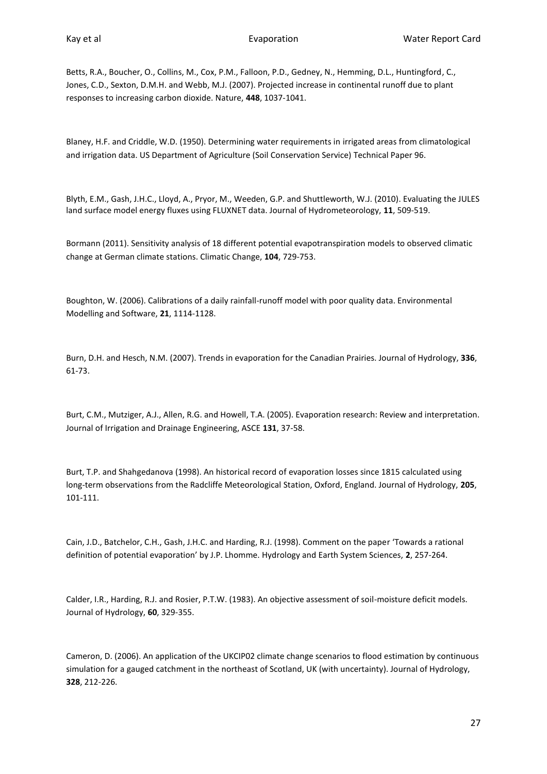Betts, R.A., Boucher, O., Collins, M., Cox, P.M., Falloon, P.D., Gedney, N., Hemming, D.L., Huntingford, C., Jones, C.D., Sexton, D.M.H. and Webb, M.J. (2007). Projected increase in continental runoff due to plant responses to increasing carbon dioxide. Nature, **448**, 1037-1041.

Blaney, H.F. and Criddle, W.D. (1950). Determining water requirements in irrigated areas from climatological and irrigation data. US Department of Agriculture (Soil Conservation Service) Technical Paper 96.

Blyth, E.M., Gash, J.H.C., Lloyd, A., Pryor, M., Weeden, G.P. and Shuttleworth, W.J. (2010). Evaluating the JULES land surface model energy fluxes using FLUXNET data. Journal of Hydrometeorology, **11**, 509-519.

Bormann (2011). Sensitivity analysis of 18 different potential evapotranspiration models to observed climatic change at German climate stations. Climatic Change, **104**, 729-753.

Boughton, W. (2006). Calibrations of a daily rainfall-runoff model with poor quality data. Environmental Modelling and Software, **21**, 1114-1128.

Burn, D.H. and Hesch, N.M. (2007). Trends in evaporation for the Canadian Prairies. Journal of Hydrology, **336**, 61-73.

Burt, C.M., Mutziger, A.J., Allen, R.G. and Howell, T.A. (2005). Evaporation research: Review and interpretation. Journal of Irrigation and Drainage Engineering, ASCE **131**, 37-58.

Burt, T.P. and Shahgedanova (1998). An historical record of evaporation losses since 1815 calculated using long-term observations from the Radcliffe Meteorological Station, Oxford, England. Journal of Hydrology, **205**, 101-111.

Cain, J.D., Batchelor, C.H., Gash, J.H.C. and Harding, R.J. (1998). Comment on the paper 'Towards a rational definition of potential evaporation' by J.P. Lhomme. Hydrology and Earth System Sciences, **2**, 257-264.

Calder, I.R., Harding, R.J. and Rosier, P.T.W. (1983). An objective assessment of soil-moisture deficit models. Journal of Hydrology, **60**, 329-355.

Cameron, D. (2006). An application of the UKCIP02 climate change scenarios to flood estimation by continuous simulation for a gauged catchment in the northeast of Scotland, UK (with uncertainty). Journal of Hydrology, **328**, 212-226.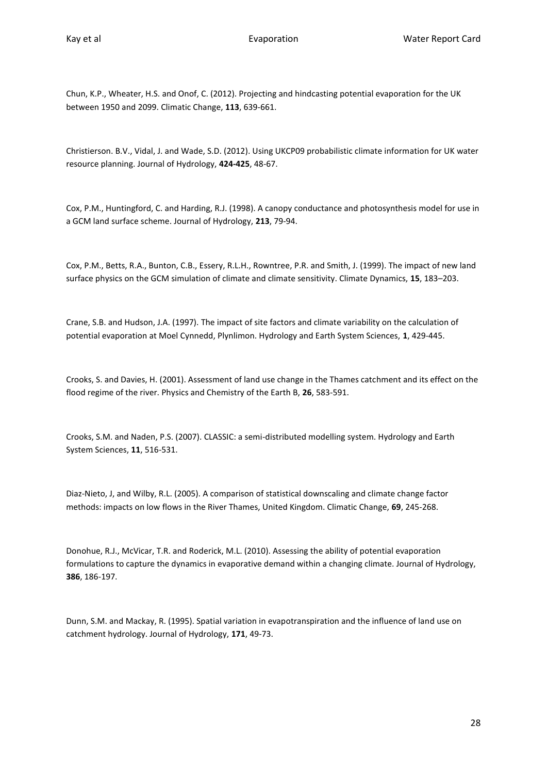Chun, K.P., Wheater, H.S. and Onof, C. (2012). Projecting and hindcasting potential evaporation for the UK between 1950 and 2099. Climatic Change, **113**, 639-661.

Christierson. B.V., Vidal, J. and Wade, S.D. (2012). Using UKCP09 probabilistic climate information for UK water resource planning. Journal of Hydrology, **424-425**, 48-67.

Cox, P.M., Huntingford, C. and Harding, R.J. (1998). A canopy conductance and photosynthesis model for use in a GCM land surface scheme. Journal of Hydrology, **213**, 79-94.

Cox, P.M., Betts, R.A., Bunton, C.B., Essery, R.L.H., Rowntree, P.R. and Smith, J. (1999). The impact of new land surface physics on the GCM simulation of climate and climate sensitivity. Climate Dynamics, **15**, 183–203.

Crane, S.B. and Hudson, J.A. (1997). The impact of site factors and climate variability on the calculation of potential evaporation at Moel Cynnedd, Plynlimon. Hydrology and Earth System Sciences, **1**, 429-445.

Crooks, S. and Davies, H. (2001). Assessment of land use change in the Thames catchment and its effect on the flood regime of the river. Physics and Chemistry of the Earth B, **26**, 583-591.

Crooks, S.M. and Naden, P.S. (2007). CLASSIC: a semi-distributed modelling system. Hydrology and Earth System Sciences, **11**, 516-531.

Diaz-Nieto, J, and Wilby, R.L. (2005). A comparison of statistical downscaling and climate change factor methods: impacts on low flows in the River Thames, United Kingdom. Climatic Change, **69**, 245-268.

Donohue, R.J., McVicar, T.R. and Roderick, M.L. (2010). Assessing the ability of potential evaporation formulations to capture the dynamics in evaporative demand within a changing climate. Journal of Hydrology, **386**, 186-197.

Dunn, S.M. and Mackay, R. (1995). Spatial variation in evapotranspiration and the influence of land use on catchment hydrology. Journal of Hydrology, **171**, 49-73.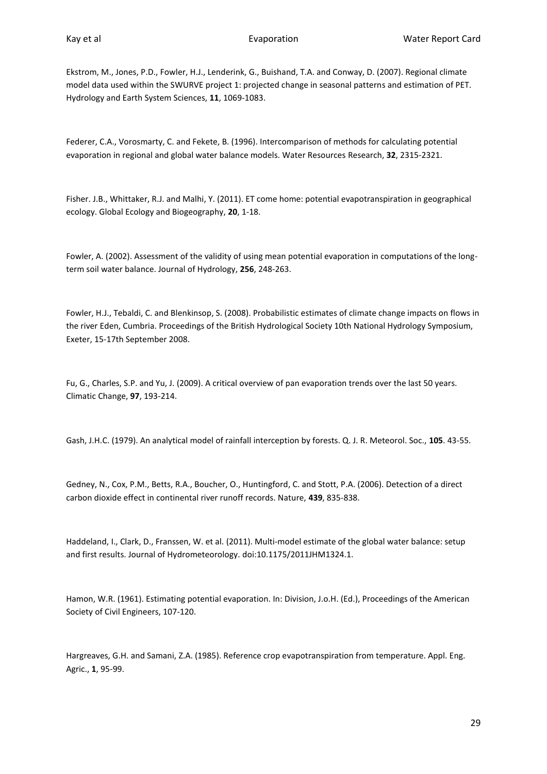Ekstrom, M., Jones, P.D., Fowler, H.J., Lenderink, G., Buishand, T.A. and Conway, D. (2007). Regional climate model data used within the SWURVE project 1: projected change in seasonal patterns and estimation of PET. Hydrology and Earth System Sciences, **11**, 1069-1083.

Federer, C.A., Vorosmarty, C. and Fekete, B. (1996). Intercomparison of methods for calculating potential evaporation in regional and global water balance models. Water Resources Research, **32**, 2315-2321.

Fisher. J.B., Whittaker, R.J. and Malhi, Y. (2011). ET come home: potential evapotranspiration in geographical ecology. Global Ecology and Biogeography, **20**, 1-18.

Fowler, A. (2002). Assessment of the validity of using mean potential evaporation in computations of the longterm soil water balance. Journal of Hydrology, **256**, 248-263.

Fowler, H.J., Tebaldi, C. and Blenkinsop, S. (2008). Probabilistic estimates of climate change impacts on flows in the river Eden, Cumbria. Proceedings of the British Hydrological Society 10th National Hydrology Symposium, Exeter, 15-17th September 2008.

Fu, G., Charles, S.P. and Yu, J. (2009). A critical overview of pan evaporation trends over the last 50 years. Climatic Change, **97**, 193-214.

Gash, J.H.C. (1979). An analytical model of rainfall interception by forests. Q. J. R. Meteorol. Soc., **105**. 43-55.

Gedney, N., Cox, P.M., Betts, R.A., Boucher, O., Huntingford, C. and Stott, P.A. (2006). Detection of a direct carbon dioxide effect in continental river runoff records. Nature, **439**, 835-838.

Haddeland, I., Clark, D., Franssen, W. et al. (2011). Multi-model estimate of the global water balance: setup and first results. Journal of Hydrometeorology. doi:10.1175/2011JHM1324.1.

Hamon, W.R. (1961). Estimating potential evaporation. In: Division, J.o.H. (Ed.), Proceedings of the American Society of Civil Engineers, 107-120.

Hargreaves, G.H. and Samani, Z.A. (1985). Reference crop evapotranspiration from temperature. Appl. Eng. Agric., **1**, 95-99.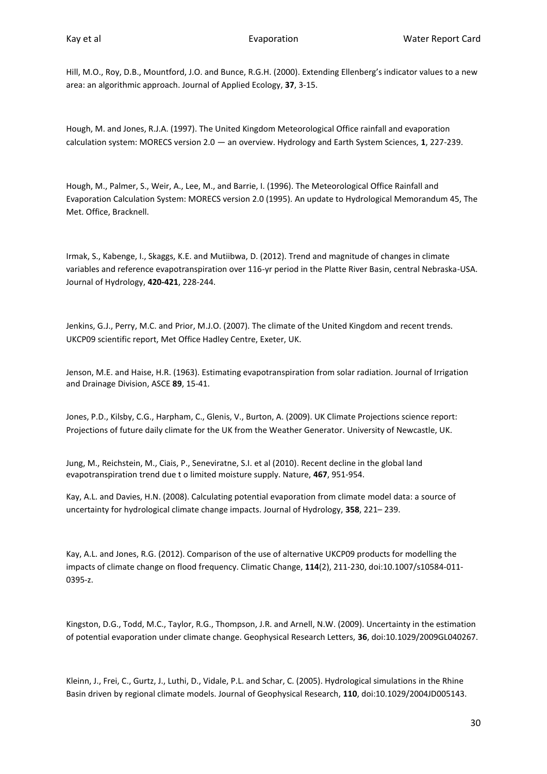Hill, M.O., Roy, D.B., Mountford, J.O. and Bunce, R.G.H. (2000). Extending Ellenberg's indicator values to a new area: an algorithmic approach. Journal of Applied Ecology, **37**, 3-15.

Hough, M. and Jones, R.J.A. (1997). The United Kingdom Meteorological Office rainfall and evaporation calculation system: MORECS version 2.0 — an overview. Hydrology and Earth System Sciences, **1**, 227-239.

Hough, M., Palmer, S., Weir, A., Lee, M., and Barrie, I. (1996). The Meteorological Office Rainfall and Evaporation Calculation System: MORECS version 2.0 (1995). An update to Hydrological Memorandum 45, The Met. Office, Bracknell.

Irmak, S., Kabenge, I., Skaggs, K.E. and Mutiibwa, D. (2012). Trend and magnitude of changes in climate variables and reference evapotranspiration over 116-yr period in the Platte River Basin, central Nebraska-USA. Journal of Hydrology, **420-421**, 228-244.

Jenkins, G.J., Perry, M.C. and Prior, M.J.O. (2007). The climate of the United Kingdom and recent trends. UKCP09 scientific report, Met Office Hadley Centre, Exeter, UK.

Jenson, M.E. and Haise, H.R. (1963). Estimating evapotranspiration from solar radiation. Journal of Irrigation and Drainage Division, ASCE **89**, 15-41.

Jones, P.D., Kilsby, C.G., Harpham, C., Glenis, V., Burton, A. (2009). UK Climate Projections science report: Projections of future daily climate for the UK from the Weather Generator. University of Newcastle, UK.

Jung, M., Reichstein, M., Ciais, P., Seneviratne, S.I. et al (2010). Recent decline in the global land evapotranspiration trend due t o limited moisture supply. Nature, **467**, 951-954.

Kay, A.L. and Davies, H.N. (2008). Calculating potential evaporation from climate model data: a source of uncertainty for hydrological climate change impacts. Journal of Hydrology, **358**, 221– 239.

Kay, A.L. and Jones, R.G. (2012). Comparison of the use of alternative UKCP09 products for modelling the impacts of climate change on flood frequency. Climatic Change, **114**(2), 211-230, doi:10.1007/s10584-011- 0395-z.

Kingston, D.G., Todd, M.C., Taylor, R.G., Thompson, J.R. and Arnell, N.W. (2009). Uncertainty in the estimation of potential evaporation under climate change. Geophysical Research Letters, **36**, doi:10.1029/2009GL040267.

Kleinn, J., Frei, C., Gurtz, J., Luthi, D., Vidale, P.L. and Schar, C. (2005). Hydrological simulations in the Rhine Basin driven by regional climate models. Journal of Geophysical Research, **110**, doi:10.1029/2004JD005143.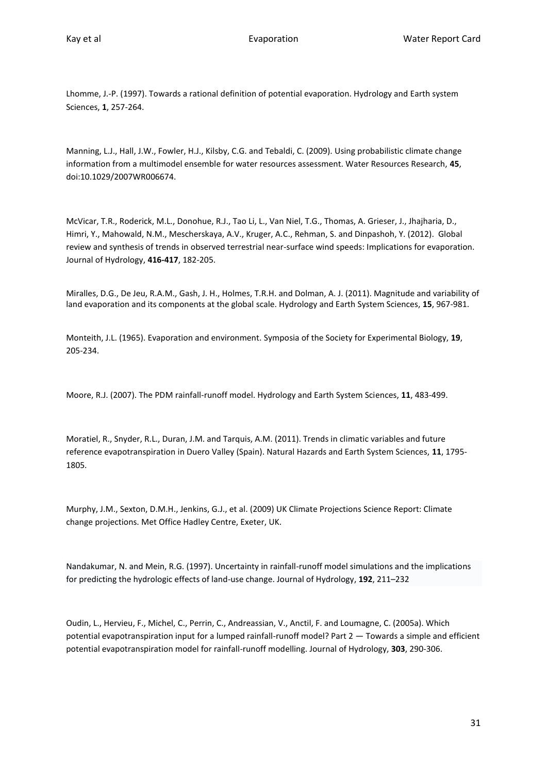Lhomme, J.-P. (1997). Towards a rational definition of potential evaporation. Hydrology and Earth system Sciences, **1**, 257-264.

Manning, L.J., Hall, J.W., Fowler, H.J., Kilsby, C.G. and Tebaldi, C. (2009). Using probabilistic climate change information from a multimodel ensemble for water resources assessment. Water Resources Research, **45**, doi:10.1029/2007WR006674.

McVicar, T.R., Roderick, M.L., Donohue, R.J., Tao Li, L., Van Niel, T.G., Thomas, A. Grieser, J., Jhajharia, D., Himri, Y., Mahowald, N.M., Mescherskaya, A.V., Kruger, A.C., Rehman, S. and Dinpashoh, Y. (2012). Global review and synthesis of trends in observed terrestrial near-surface wind speeds: Implications for evaporation. Journal of Hydrology, **416-417**, 182-205.

Miralles, D.G., De Jeu, R.A.M., Gash, J. H., Holmes, T.R.H. and Dolman, A. J. (2011). Magnitude and variability of land evaporation and its components at the global scale. Hydrology and Earth System Sciences, **15**, 967-981.

Monteith, J.L. (1965). Evaporation and environment. Symposia of the Society for Experimental Biology, **19**, 205-234.

Moore, R.J. (2007). The PDM rainfall-runoff model. Hydrology and Earth System Sciences, **11**, 483-499.

Moratiel, R., Snyder, R.L., Duran, J.M. and Tarquis, A.M. (2011). Trends in climatic variables and future reference evapotranspiration in Duero Valley (Spain). Natural Hazards and Earth System Sciences, **11**, 1795- 1805.

Murphy, J.M., Sexton, D.M.H., Jenkins, G.J., et al. (2009) UK Climate Projections Science Report: Climate change projections. Met Office Hadley Centre, Exeter, UK.

Nandakumar, N. and Mein, R.G. (1997). Uncertainty in rainfall-runoff model simulations and the implications for predicting the hydrologic effects of land-use change[. Journal of Hydrology,](http://www.sciencedirect.com/science/journal/00221694) **192**, 211–232

Oudin, L., Hervieu, F., Michel, C., Perrin, C., Andreassian, V., Anctil, F. and Loumagne, C. (2005a). Which potential evapotranspiration input for a lumped rainfall-runoff model? Part 2 — Towards a simple and efficient potential evapotranspiration model for rainfall-runoff modelling. Journal of Hydrology, **303**, 290-306.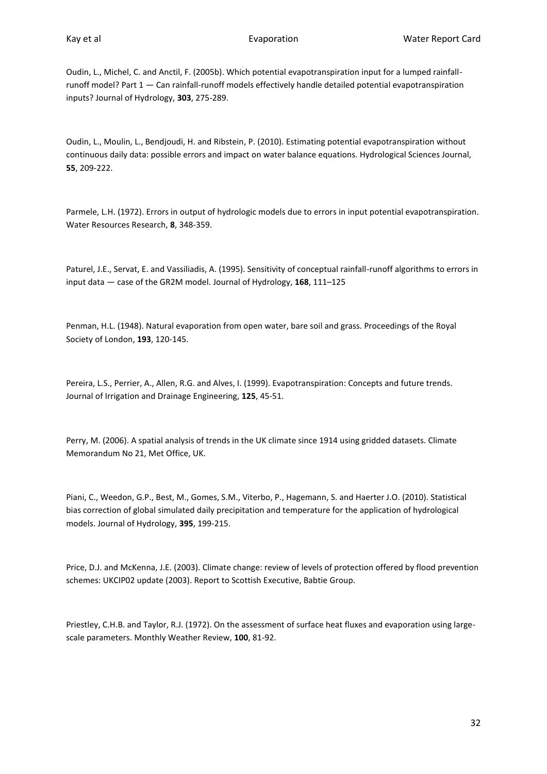Oudin, L., Michel, C. and Anctil, F. (2005b). Which potential evapotranspiration input for a lumped rainfallrunoff model? Part 1 — Can rainfall-runoff models effectively handle detailed potential evapotranspiration inputs? Journal of Hydrology, **303**, 275-289.

Oudin, L., Moulin, L., Bendjoudi, H. and Ribstein, P. (2010). Estimating potential evapotranspiration without continuous daily data: possible errors and impact on water balance equations. Hydrological Sciences Journal, **55**, 209-222.

Parmele, L.H. (1972). Errors in output of hydrologic models due to errors in input potential evapotranspiration. Water Resources Research, **8**, 348-359.

Paturel, J.E., Servat, E. and Vassiliadis, A. (1995). Sensitivity of conceptual rainfall-runoff algorithms to errors in input data — case of the GR2M model. [Journal of Hydrology,](http://www.sciencedirect.com/science/journal/00221694) **168**, 111–125

Penman, H.L. (1948). Natural evaporation from open water, bare soil and grass. Proceedings of the Royal Society of London, **193**, 120-145.

Pereira, L.S., Perrier, A., Allen, R.G. and Alves, I. (1999). Evapotranspiration: Concepts and future trends. Journal of Irrigation and Drainage Engineering, **125**, 45-51.

Perry, M. (2006). A spatial analysis of trends in the UK climate since 1914 using gridded datasets. Climate Memorandum No 21, Met Office, UK.

Piani, C., Weedon, G.P., Best, M., Gomes, S.M., Viterbo, P., Hagemann, S. and Haerter J.O. (2010). Statistical bias correction of global simulated daily precipitation and temperature for the application of hydrological models. Journal of Hydrology, **395**, 199-215.

Price, D.J. and McKenna, J.E. (2003). Climate change: review of levels of protection offered by flood prevention schemes: UKCIP02 update (2003). Report to Scottish Executive, Babtie Group.

Priestley, C.H.B. and Taylor, R.J. (1972). On the assessment of surface heat fluxes and evaporation using largescale parameters. Monthly Weather Review, **100**, 81-92.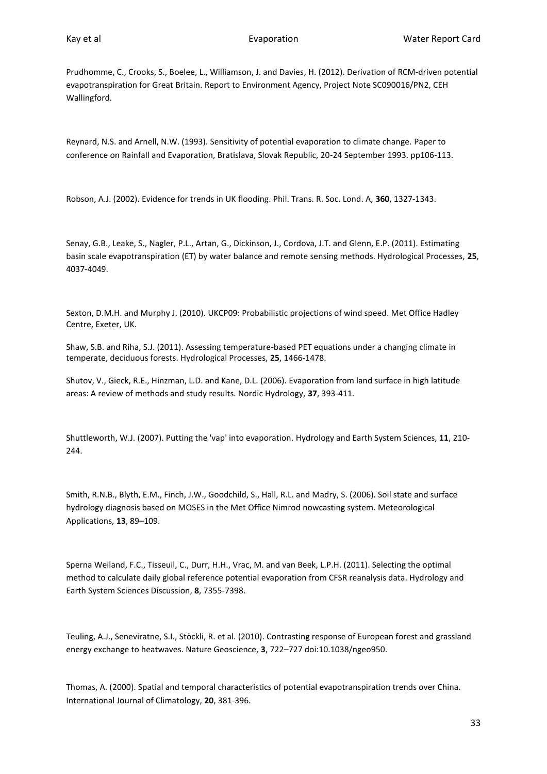Prudhomme, C., Crooks, S., Boelee, L., Williamson, J. and Davies, H. (2012). Derivation of RCM-driven potential evapotranspiration for Great Britain. Report to Environment Agency, Project Note SC090016/PN2, CEH Wallingford.

Reynard, N.S. and Arnell, N.W. (1993). Sensitivity of potential evaporation to climate change. Paper to conference on Rainfall and Evaporation, Bratislava, Slovak Republic, 20-24 September 1993. pp106-113.

Robson, A.J. (2002). Evidence for trends in UK flooding. Phil. Trans. R. Soc. Lond. A, **360**, 1327-1343.

Senay, G.B., Leake, S., Nagler, P.L., Artan, G., Dickinson, J., Cordova, J.T. and Glenn, E.P. (2011). Estimating basin scale evapotranspiration (ET) by water balance and remote sensing methods. Hydrological Processes, **25**, 4037-4049.

Sexton, D.M.H. and Murphy J. (2010). UKCP09: Probabilistic projections of wind speed. Met Office Hadley Centre, Exeter, UK.

Shaw, S.B. and Riha, S.J. (2011). Assessing temperature-based PET equations under a changing climate in temperate, deciduous forests. Hydrological Processes, **25**, 1466-1478.

Shutov, V., Gieck, R.E., Hinzman, L.D. and Kane, D.L. (2006). Evaporation from land surface in high latitude areas: A review of methods and study results. Nordic Hydrology, **37**, 393-411.

Shuttleworth, W.J. (2007). Putting the 'vap' into evaporation. Hydrology and Earth System Sciences, **11**, 210- 244.

Smith, R.N.B., Blyth, E.M., Finch, J.W., Goodchild, S., Hall, R.L. and Madry, S. (2006). Soil state and surface hydrology diagnosis based on MOSES in the Met Office Nimrod nowcasting system. Meteorological Applications, **13**, 89–109.

Sperna Weiland, F.C., Tisseuil, C., Durr, H.H., Vrac, M. and van Beek, L.P.H. (2011). Selecting the optimal method to calculate daily global reference potential evaporation from CFSR reanalysis data. Hydrology and Earth System Sciences Discussion, **8**, 7355-7398.

Teuling, A.J., Seneviratne, S.I., Stöckli, R. et al. (2010). Contrasting response of European forest and grassland energy exchange to heatwaves. Nature Geoscience, **3**, 722–727 doi:10.1038/ngeo950.

Thomas, A. (2000). Spatial and temporal characteristics of potential evapotranspiration trends over China. International Journal of Climatology, **20**, 381-396.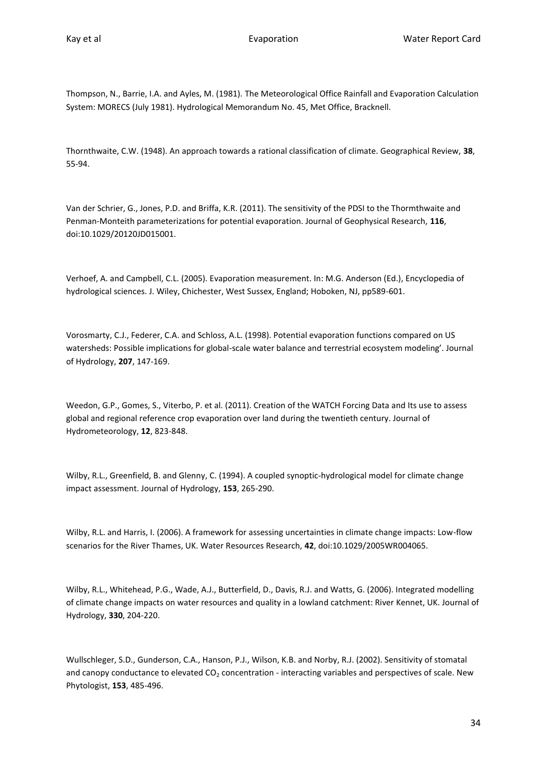Thompson, N., Barrie, I.A. and Ayles, M. (1981). The Meteorological Office Rainfall and Evaporation Calculation System: MORECS (July 1981). Hydrological Memorandum No. 45, Met Office, Bracknell.

Thornthwaite, C.W. (1948). An approach towards a rational classification of climate. Geographical Review, **38**, 55-94.

Van der Schrier, G., Jones, P.D. and Briffa, K.R. (2011). The sensitivity of the PDSI to the Thormthwaite and Penman-Monteith parameterizations for potential evaporation. Journal of Geophysical Research, **116**, doi:10.1029/20120JD015001.

Verhoef, A. and Campbell, C.L. (2005). Evaporation measurement. In: M.G. Anderson (Ed.), Encyclopedia of hydrological sciences. J. Wiley, Chichester, West Sussex, England; Hoboken, NJ, pp589-601.

Vorosmarty, C.J., Federer, C.A. and Schloss, A.L. (1998). Potential evaporation functions compared on US watersheds: Possible implications for global-scale water balance and terrestrial ecosystem modeling'. Journal of Hydrology, **207**, 147-169.

Weedon, G.P., Gomes, S., Viterbo, P. et al. (2011). Creation of the WATCH Forcing Data and Its use to assess global and regional reference crop evaporation over land during the twentieth century. Journal of Hydrometeorology, **12**, 823-848.

Wilby, R.L., Greenfield, B. and Glenny, C. (1994). A coupled synoptic-hydrological model for climate change impact assessment. Journal of Hydrology, **153**, 265-290.

Wilby, R.L. and Harris, I. (2006). A framework for assessing uncertainties in climate change impacts: Low-flow scenarios for the River Thames, UK. Water Resources Research, **42**, doi:10.1029/2005WR004065.

Wilby, R.L., Whitehead, P.G., Wade, A.J., Butterfield, D., Davis, R.J. and Watts, G. (2006). Integrated modelling of climate change impacts on water resources and quality in a lowland catchment: River Kennet, UK. Journal of Hydrology, **330**, 204-220.

Wullschleger, S.D., Gunderson, C.A., Hanson, P.J., Wilson, K.B. and Norby, R.J. (2002). Sensitivity of stomatal and canopy conductance to elevated CO<sub>2</sub> concentration - interacting variables and perspectives of scale. New Phytologist, **153**, 485-496.